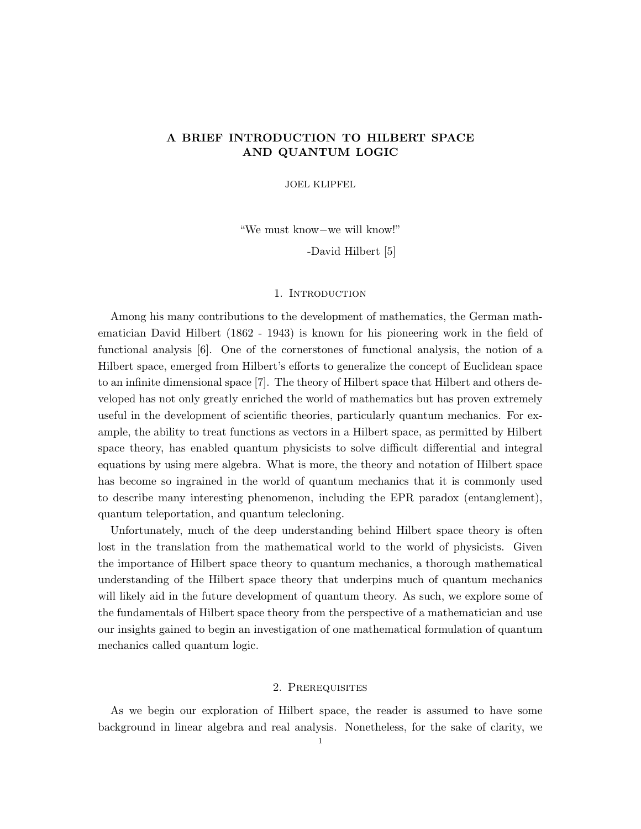# A BRIEF INTRODUCTION TO HILBERT SPACE AND QUANTUM LOGIC

JOEL KLIPFEL

"We must know−we will know!"

-David Hilbert [5]

# 1. INTRODUCTION

Among his many contributions to the development of mathematics, the German mathematician David Hilbert (1862 - 1943) is known for his pioneering work in the field of functional analysis [6]. One of the cornerstones of functional analysis, the notion of a Hilbert space, emerged from Hilbert's efforts to generalize the concept of Euclidean space to an infinite dimensional space [7]. The theory of Hilbert space that Hilbert and others developed has not only greatly enriched the world of mathematics but has proven extremely useful in the development of scientific theories, particularly quantum mechanics. For example, the ability to treat functions as vectors in a Hilbert space, as permitted by Hilbert space theory, has enabled quantum physicists to solve difficult differential and integral equations by using mere algebra. What is more, the theory and notation of Hilbert space has become so ingrained in the world of quantum mechanics that it is commonly used to describe many interesting phenomenon, including the EPR paradox (entanglement), quantum teleportation, and quantum telecloning.

Unfortunately, much of the deep understanding behind Hilbert space theory is often lost in the translation from the mathematical world to the world of physicists. Given the importance of Hilbert space theory to quantum mechanics, a thorough mathematical understanding of the Hilbert space theory that underpins much of quantum mechanics will likely aid in the future development of quantum theory. As such, we explore some of the fundamentals of Hilbert space theory from the perspective of a mathematician and use our insights gained to begin an investigation of one mathematical formulation of quantum mechanics called quantum logic.

### 2. Prerequisites

As we begin our exploration of Hilbert space, the reader is assumed to have some background in linear algebra and real analysis. Nonetheless, for the sake of clarity, we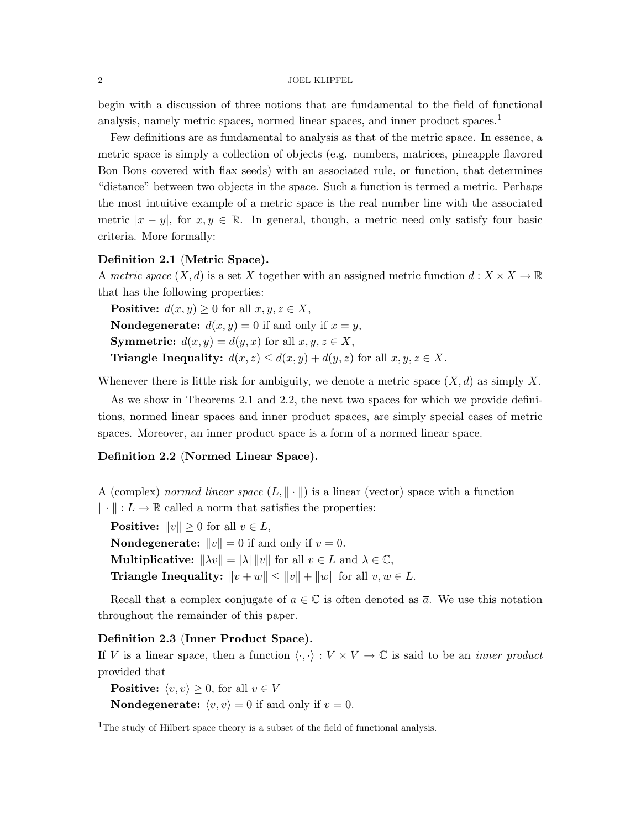#### 2 JOEL KLIPFEL

begin with a discussion of three notions that are fundamental to the field of functional analysis, namely metric spaces, normed linear spaces, and inner product spaces.<sup>1</sup>

Few definitions are as fundamental to analysis as that of the metric space. In essence, a metric space is simply a collection of objects (e.g. numbers, matrices, pineapple flavored Bon Bons covered with flax seeds) with an associated rule, or function, that determines "distance" between two objects in the space. Such a function is termed a metric. Perhaps the most intuitive example of a metric space is the real number line with the associated metric  $|x - y|$ , for  $x, y \in \mathbb{R}$ . In general, though, a metric need only satisfy four basic criteria. More formally:

### Definition 2.1 (Metric Space).

A metric space  $(X, d)$  is a set X together with an assigned metric function  $d: X \times X \to \mathbb{R}$ that has the following properties:

**Positive:**  $d(x, y) \geq 0$  for all  $x, y, z \in X$ , **Nondegenerate:**  $d(x, y) = 0$  if and only if  $x = y$ , **Symmetric:**  $d(x, y) = d(y, x)$  for all  $x, y, z \in X$ , **Triangle Inequality:**  $d(x, z) \leq d(x, y) + d(y, z)$  for all  $x, y, z \in X$ .

Whenever there is little risk for ambiguity, we denote a metric space  $(X, d)$  as simply X.

As we show in Theorems 2.1 and 2.2, the next two spaces for which we provide definitions, normed linear spaces and inner product spaces, are simply special cases of metric spaces. Moreover, an inner product space is a form of a normed linear space.

#### Definition 2.2 (Normed Linear Space).

A (complex) normed linear space  $(L, \|\cdot\|)$  is a linear (vector) space with a function  $\Vert \cdot \Vert : L \to \mathbb{R}$  called a norm that satisfies the properties:

**Positive:**  $||v|| \geq 0$  for all  $v \in L$ , **Nondegenerate:**  $||v|| = 0$  if and only if  $v = 0$ . **Multiplicative:**  $\|\lambda v\| = |\lambda| \|v\|$  for all  $v \in L$  and  $\lambda \in \mathbb{C}$ , **Triangle Inequality:**  $||v + w|| \le ||v|| + ||w||$  for all  $v, w \in L$ .

Recall that a complex conjugate of  $a \in \mathbb{C}$  is often denoted as  $\overline{a}$ . We use this notation throughout the remainder of this paper.

## Definition 2.3 (Inner Product Space).

If V is a linear space, then a function  $\langle \cdot, \cdot \rangle : V \times V \to \mathbb{C}$  is said to be an *inner product* provided that

**Positive:**  $\langle v, v \rangle \geq 0$ , for all  $v \in V$ **Nondegenerate:**  $\langle v, v \rangle = 0$  if and only if  $v = 0$ .

<sup>&</sup>lt;sup>1</sup>The study of Hilbert space theory is a subset of the field of functional analysis.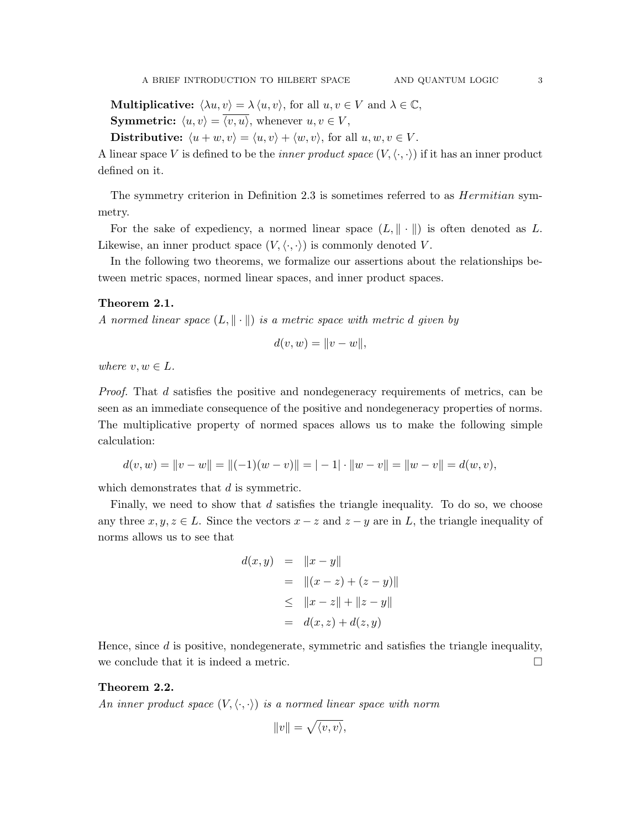**Multiplicative:**  $\langle \lambda u, v \rangle = \lambda \langle u, v \rangle$ , for all  $u, v \in V$  and  $\lambda \in \mathbb{C}$ , **Symmetric:**  $\langle u, v \rangle = \overline{\langle v, u \rangle}$ , whenever  $u, v \in V$ ,

Distributive:  $\langle u + w, v \rangle = \langle u, v \rangle + \langle w, v \rangle$ , for all  $u, w, v \in V$ .

A linear space V is defined to be the *inner product space*  $(V, \langle \cdot, \cdot \rangle)$  if it has an inner product defined on it.

The symmetry criterion in Definition 2.3 is sometimes referred to as *Hermitian* symmetry.

For the sake of expediency, a normed linear space  $(L, \|\cdot\|)$  is often denoted as L. Likewise, an inner product space  $(V, \langle \cdot, \cdot \rangle)$  is commonly denoted V.

In the following two theorems, we formalize our assertions about the relationships between metric spaces, normed linear spaces, and inner product spaces.

#### Theorem 2.1.

A normed linear space  $(L, \|\cdot\|)$  is a metric space with metric d given by

$$
d(v, w) = ||v - w||,
$$

where  $v, w \in L$ .

Proof. That d satisfies the positive and nondegeneracy requirements of metrics, can be seen as an immediate consequence of the positive and nondegeneracy properties of norms. The multiplicative property of normed spaces allows us to make the following simple calculation:

$$
d(v, w) = ||v - w|| = ||(-1)(w - v)|| = |-1| \cdot ||w - v|| = ||w - v|| = d(w, v),
$$

which demonstrates that  $d$  is symmetric.

Finally, we need to show that  $d$  satisfies the triangle inequality. To do so, we choose any three  $x, y, z \in L$ . Since the vectors  $x - z$  and  $z - y$  are in L, the triangle inequality of norms allows us to see that

$$
d(x, y) = ||x - y||
$$
  
=  $||(x - z) + (z - y)||$   
 $\leq ||x - z|| + ||z - y||$   
=  $d(x, z) + d(z, y)$ 

Hence, since  $d$  is positive, nondegenerate, symmetric and satisfies the triangle inequality, we conclude that it is indeed a metric.  $\Box$ 

#### Theorem 2.2.

An inner product space  $(V, \langle \cdot, \cdot \rangle)$  is a normed linear space with norm

$$
||v|| = \sqrt{\langle v, v \rangle},
$$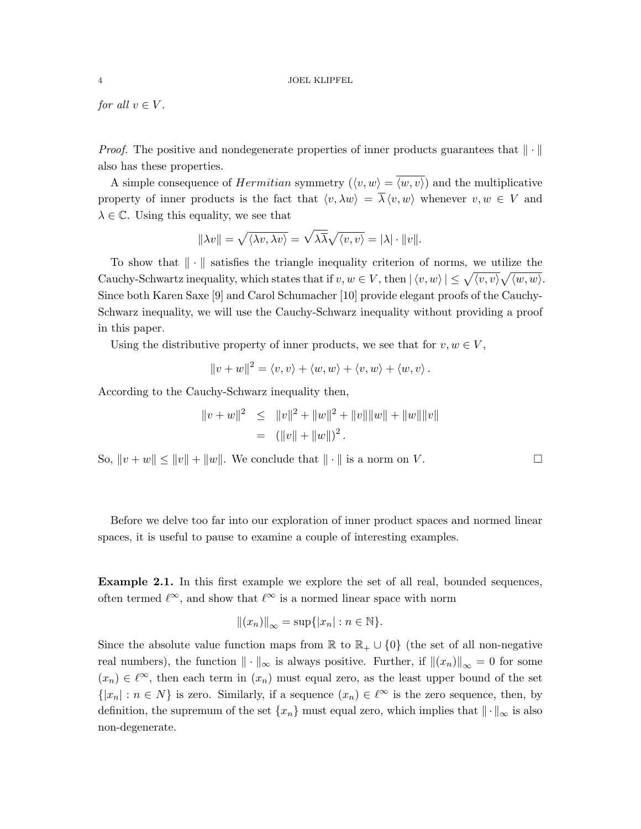for all  $v \in V$ .

*Proof.* The positive and nondegenerate properties of inner products guarantees that  $\|\cdot\|$ also has these properties.

A simple consequence of *Hermitian* symmetry  $(\langle v, w \rangle = \langle \overline{w}, v \rangle)$  and the multiplicative property of inner products is the fact that  $\langle v, \lambda w \rangle = \overline{\lambda} \langle v, w \rangle$  whenever  $v, w \in V$  and  $\lambda \in \mathbb{C}$ . Using this equality, we see that

$$
\|\lambda v\| = \sqrt{\langle \lambda v, \lambda v \rangle} = \sqrt{\lambda \overline{\lambda}} \sqrt{\langle v, v \rangle} = |\lambda| \cdot \|v\|.
$$

To show that  $\|\cdot\|$  satisfies the triangle inequality criterion of norms, we utilize the Cauchy-Schwartz inequality, which states that if  $v, w \in V$ , then  $|\langle v, w \rangle| \leq \sqrt{\langle v, v \rangle} \sqrt{\langle w, w \rangle}$ . Since both Karen Saxe [9] and Carol Schumacher [10] provide elegant proofs of the Cauchy-Schwarz inequality, we will use the Cauchy-Schwarz inequality without providing a proof in this paper.

Using the distributive property of inner products, we see that for  $v, w \in V$ ,

$$
||v+w||^2 = \langle v, v \rangle + \langle w, w \rangle + \langle v, w \rangle + \langle w, v \rangle.
$$

According to the Cauchy-Schwarz inequality then,

$$
||v+w||2 \le ||v||2 + ||w||2 + ||v|| ||w|| + ||w|| ||v||
$$
  
=  $(||v|| + ||w||)2$ .

So,  $||v + w|| \le ||v|| + ||w||$ . We conclude that  $|| \cdot ||$  is a norm on V.

Before we delve too far into our exploration of inner product spaces and normed linear spaces, it is useful to pause to examine a couple of interesting examples.

Example 2.1. In this first example we explore the set of all real, bounded sequences, often termed  $\ell^{\infty}$ , and show that  $\ell^{\infty}$  is a normed linear space with norm

$$
||(x_n)||_{\infty} = \sup\{|x_n| : n \in \mathbb{N}\}.
$$

Since the absolute value function maps from  $\mathbb R$  to  $\mathbb R_+ \cup \{0\}$  (the set of all non-negative real numbers), the function  $\|\cdot\|_{\infty}$  is always positive. Further, if  $\|(x_n)\|_{\infty}=0$  for some  $(x_n) \in \ell^{\infty}$ , then each term in  $(x_n)$  must equal zero, as the least upper bound of the set  $\{|x_n| : n \in N\}$  is zero. Similarly, if a sequence  $(x_n) \in \ell^{\infty}$  is the zero sequence, then, by definition, the supremum of the set  $\{x_n\}$  must equal zero, which implies that  $\|\cdot\|_{\infty}$  is also non-degenerate.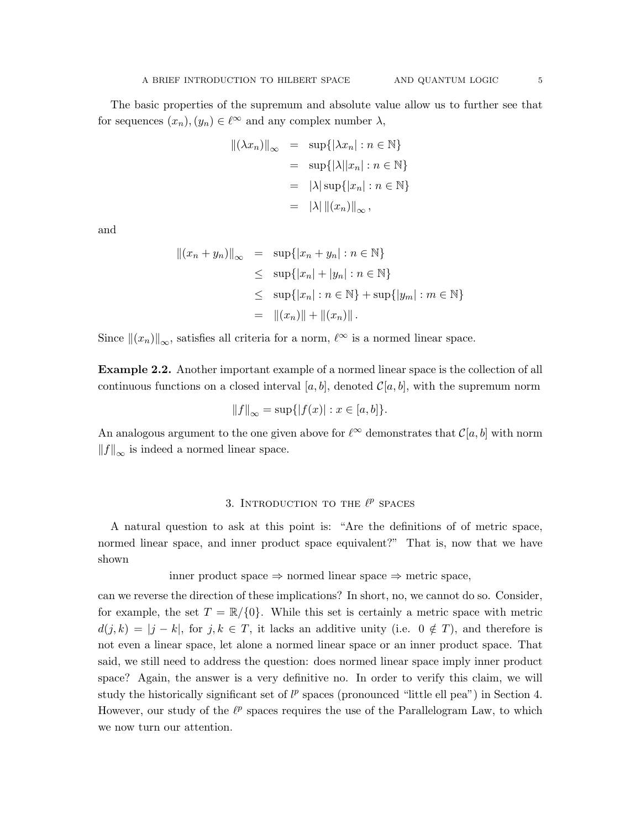The basic properties of the supremum and absolute value allow us to further see that for sequences  $(x_n), (y_n) \in \ell^{\infty}$  and any complex number  $\lambda$ ,

$$
\begin{aligned} ||(\lambda x_n)||_{\infty} &= \sup\{ |\lambda x_n| : n \in \mathbb{N} \} \\ &= \sup\{ |\lambda| |x_n| : n \in \mathbb{N} \} \\ &= |\lambda| \sup\{ |x_n| : n \in \mathbb{N} \} \\ &= |\lambda| ||(x_n)||_{\infty}, \end{aligned}
$$

and

$$
||(x_n + y_n)||_{\infty} = \sup\{|x_n + y_n| : n \in \mathbb{N}\}\
$$
  
\n
$$
\leq \sup\{|x_n| + |y_n| : n \in \mathbb{N}\}\
$$
  
\n
$$
\leq \sup\{|x_n| : n \in \mathbb{N}\} + \sup\{|y_m| : m \in \mathbb{N}\}\
$$
  
\n
$$
= ||(x_n)|| + ||(x_n)||.
$$

Since  $\|(x_n)\|_{\infty}$ , satisfies all criteria for a norm,  $\ell^{\infty}$  is a normed linear space.

Example 2.2. Another important example of a normed linear space is the collection of all continuous functions on a closed interval [a, b], denoted  $\mathcal{C}[a, b]$ , with the supremum norm

$$
||f||_{\infty} = \sup\{|f(x)| : x \in [a, b]\}.
$$

An analogous argument to the one given above for  $\ell^{\infty}$  demonstrates that  $\mathcal{C}[a, b]$  with norm  $||f||_{\infty}$  is indeed a normed linear space.

# 3. INTRODUCTION TO THE  $\ell^p$  SPACES

A natural question to ask at this point is: "Are the definitions of of metric space, normed linear space, and inner product space equivalent?" That is, now that we have shown

inner product space 
$$
\Rightarrow
$$
 normed linear space  $\Rightarrow$  metric space,

can we reverse the direction of these implications? In short, no, we cannot do so. Consider, for example, the set  $T = \mathbb{R}/\{0\}$ . While this set is certainly a metric space with metric  $d(j, k) = |j - k|$ , for  $j, k \in T$ , it lacks an additive unity (i.e.  $0 \notin T$ ), and therefore is not even a linear space, let alone a normed linear space or an inner product space. That said, we still need to address the question: does normed linear space imply inner product space? Again, the answer is a very definitive no. In order to verify this claim, we will study the historically significant set of  $l^p$  spaces (pronounced "little ell pea") in Section 4. However, our study of the  $\ell^p$  spaces requires the use of the Parallelogram Law, to which we now turn our attention.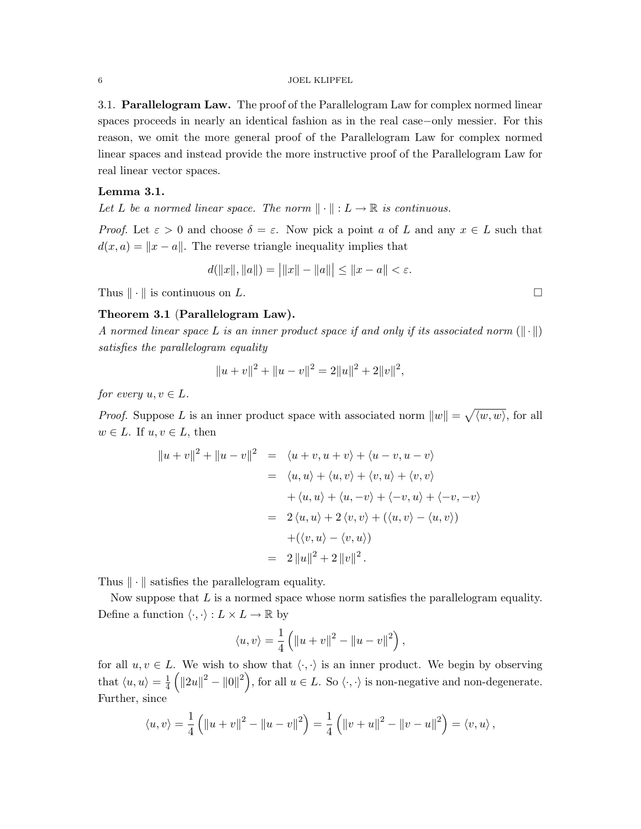3.1. Parallelogram Law. The proof of the Parallelogram Law for complex normed linear spaces proceeds in nearly an identical fashion as in the real case−only messier. For this reason, we omit the more general proof of the Parallelogram Law for complex normed linear spaces and instead provide the more instructive proof of the Parallelogram Law for real linear vector spaces.

# Lemma 3.1.

Let L be a normed linear space. The norm  $\|\cdot\| : L \to \mathbb{R}$  is continuous.

Proof. Let  $\varepsilon > 0$  and choose  $\delta = \varepsilon$ . Now pick a point a of L and any  $x \in L$  such that  $d(x, a) = ||x - a||$ . The reverse triangle inequality implies that

$$
d(||x||, ||a||) = ||x|| - ||a||| \le ||x - a|| < \varepsilon.
$$

Thus  $\|\cdot\|$  is continuous on L.

### Theorem 3.1 (Parallelogram Law).

A normed linear space L is an inner product space if and only if its associated norm ( $\|\cdot\|$ ) satisfies the parallelogram equality

$$
||u + v||2 + ||u - v||2 = 2||u||2 + 2||v||2,
$$

for every  $u, v \in L$ .

*Proof.* Suppose L is an inner product space with associated norm  $||w|| = \sqrt{\langle w, w \rangle}$ , for all  $w \in L$ . If  $u, v \in L$ , then

$$
||u + v||2 + ||u - v||2 = \langle u + v, u + v \rangle + \langle u - v, u - v \rangle
$$
  
= \langle u, u \rangle + \langle u, v \rangle + \langle v, u \rangle + \langle v, v \rangle  
+ \langle u, u \rangle + \langle u, -v \rangle + \langle -v, u \rangle + \langle -v, -v \rangle  
= 2 \langle u, u \rangle + 2 \langle v, v \rangle + (\langle u, v \rangle - \langle u, v \rangle)  
+ (\langle v, u \rangle - \langle v, u \rangle)  
= 2 ||u||<sup>2</sup> + 2 ||v||<sup>2</sup>.

Thus  $\|\cdot\|$  satisfies the parallelogram equality.

Now suppose that  $L$  is a normed space whose norm satisfies the parallelogram equality. Define a function  $\langle \cdot, \cdot \rangle : L \times L \to \mathbb{R}$  by

$$
\langle u, v \rangle = \frac{1}{4} (||u + v||^{2} - ||u - v||^{2}),
$$

for all  $u, v \in L$ . We wish to show that  $\langle \cdot, \cdot \rangle$  is an inner product. We begin by observing that  $\langle u, u \rangle = \frac{1}{4}$  $\frac{1}{4} \left( \|2u\|^2 - \|0\|^2 \right)$ , for all  $u \in L$ . So  $\langle \cdot, \cdot \rangle$  is non-negative and non-degenerate. Further, since

$$
\langle u, v \rangle = \frac{1}{4} (||u + v||^2 - ||u - v||^2) = \frac{1}{4} (||v + u||^2 - ||v - u||^2) = \langle v, u \rangle,
$$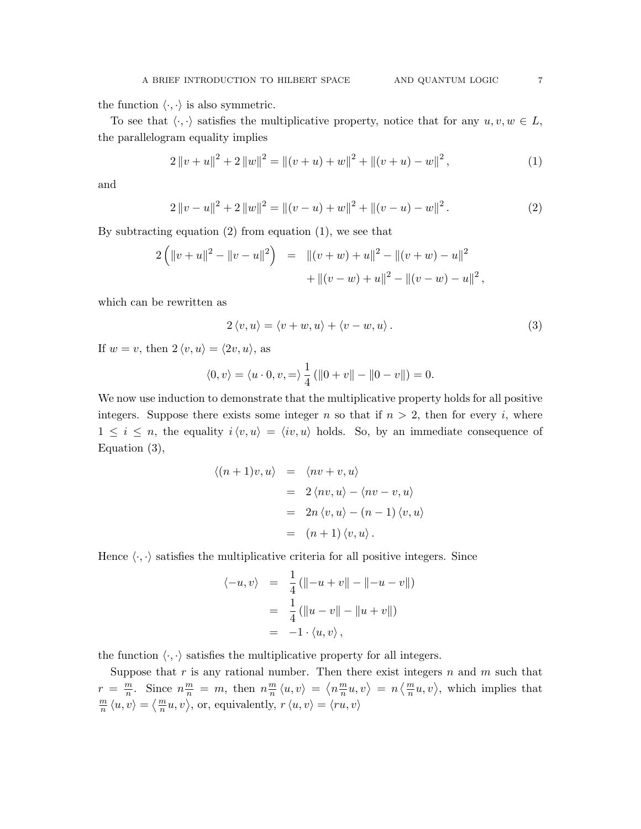the function  $\langle \cdot, \cdot \rangle$  is also symmetric.

To see that  $\langle \cdot, \cdot \rangle$  satisfies the multiplicative property, notice that for any  $u, v, w \in L$ , the parallelogram equality implies

$$
2\|v+u\|^2 + 2\|w\|^2 = \|(v+u)+w\|^2 + \|(v+u)-w\|^2,
$$
\n(1)

and

$$
2\|v-u\|^2 + 2\|w\|^2 = \|(v-u) + w\|^2 + \|(v-u) - w\|^2.
$$
 (2)

By subtracting equation  $(2)$  from equation  $(1)$ , we see that

$$
2\left(\|v+u\|^2 - \|v-u\|^2\right) = \| (v+w) + u \|^2 - \| (v+w) - u \|^2
$$

$$
+ \| (v-w) + u \|^2 - \| (v-w) - u \|^2,
$$

which can be rewritten as

$$
2 \langle v, u \rangle = \langle v + w, u \rangle + \langle v - w, u \rangle. \tag{3}
$$

If  $w = v$ , then  $2 \langle v, u \rangle = \langle 2v, u \rangle$ , as

$$
\langle 0, v \rangle = \langle u \cdot 0, v, \, \rangle \frac{1}{4} (||0 + v|| - ||0 - v||) = 0.
$$

We now use induction to demonstrate that the multiplicative property holds for all positive integers. Suppose there exists some integer n so that if  $n > 2$ , then for every i, where  $1 \leq i \leq n$ , the equality  $i\langle v, u \rangle = \langle iv, u \rangle$  holds. So, by an immediate consequence of Equation (3),

$$
\langle (n+1)v, u \rangle = \langle nv + v, u \rangle
$$
  
= 2 \langle nv, u \rangle - \langle nv - v, u \rangle  
= 2n \langle v, u \rangle - (n-1) \langle v, u \rangle  
= (n+1) \langle v, u \rangle.

Hence  $\langle \cdot, \cdot \rangle$  satisfies the multiplicative criteria for all positive integers. Since

$$
\langle -u, v \rangle = \frac{1}{4} (||-u + v|| - ||-u - v||)
$$
  
=  $\frac{1}{4} (||u - v|| - ||u + v||)$   
=  $-1 \cdot \langle u, v \rangle$ ,

the function  $\langle \cdot, \cdot \rangle$  satisfies the multiplicative property for all integers.

Suppose that  $r$  is any rational number. Then there exist integers  $n$  and  $m$  such that  $r = \frac{m}{n}$  $\frac{m}{n}$ . Since  $n\frac{m}{n} = m$ , then  $n\frac{m}{n}$  $\frac{m}{n} \langle u, v \rangle = \langle n \frac{m}{n} \rangle$  $\frac{m}{n}u, v\big\rangle = n\big\langle \frac{m}{n} \big\rangle$  $\frac{m}{n}u, v\rangle$ , which implies that  $\overline{m}$  $\frac{m}{n} \langle u, v \rangle = \langle \frac{m}{n} \rangle$  $\frac{m}{n}u, v\rangle$ , or, equivalently,  $r \langle u, v \rangle = \langle ru, v \rangle$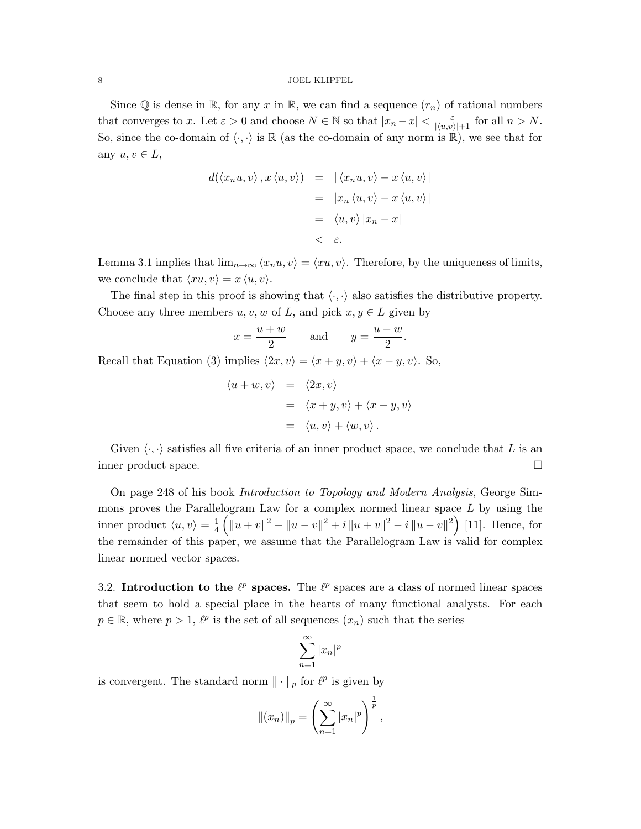Since  $\mathbb Q$  is dense in  $\mathbb R$ , for any x in  $\mathbb R$ , we can find a sequence  $(r_n)$  of rational numbers that converges to x. Let  $\varepsilon > 0$  and choose  $N \in \mathbb{N}$  so that  $|x_n - x| < \frac{\varepsilon}{|\langle u, v \rangle| + 1}$  for all  $n > N$ . So, since the co-domain of  $\langle \cdot, \cdot \rangle$  is R (as the co-domain of any norm is R), we see that for any  $u, v \in L$ ,

$$
d(\langle x_n u, v \rangle, x \langle u, v \rangle) = |\langle x_n u, v \rangle - x \langle u, v \rangle|
$$
  
=  $|x_n \langle u, v \rangle - x \langle u, v \rangle|$   
=  $\langle u, v \rangle |x_n - x|$   
<  $\varepsilon$ .

Lemma 3.1 implies that  $\lim_{n\to\infty} \langle x_nu, v \rangle = \langle xu, v \rangle$ . Therefore, by the uniqueness of limits, we conclude that  $\langle xu, v \rangle = x \langle u, v \rangle$ .

The final step in this proof is showing that  $\langle \cdot, \cdot \rangle$  also satisfies the distributive property. Choose any three members  $u, v, w$  of L, and pick  $x, y \in L$  given by

$$
x = \frac{u+w}{2} \quad \text{and} \quad y = \frac{u-w}{2}.
$$

Recall that Equation (3) implies  $\langle 2x, v \rangle = \langle x + y, v \rangle + \langle x - y, v \rangle$ . So,

$$
\langle u+w,v \rangle = \langle 2x, v \rangle
$$
  
=  $\langle x+y, v \rangle + \langle x-y, v \rangle$   
=  $\langle u, v \rangle + \langle w, v \rangle$ .

Given  $\langle \cdot, \cdot \rangle$  satisfies all five criteria of an inner product space, we conclude that L is an inner product space.

On page 248 of his book Introduction to Topology and Modern Analysis, George Simmons proves the Parallelogram Law for a complex normed linear space  $L$  by using the inner product  $\langle u, v \rangle = \frac{1}{4}$  $\frac{1}{4} (||u + v||^2 - ||u - v||^2 + i ||u + v||^2 - i ||u - v||^2)$  [11]. Hence, for the remainder of this paper, we assume that the Parallelogram Law is valid for complex linear normed vector spaces.

3.2. Introduction to the  $\ell^p$  spaces. The  $\ell^p$  spaces are a class of normed linear spaces that seem to hold a special place in the hearts of many functional analysts. For each  $p \in \mathbb{R}$ , where  $p > 1$ ,  $\ell^p$  is the set of all sequences  $(x_n)$  such that the series

$$
\sum_{n=1}^{\infty} |x_n|^p
$$

is convergent. The standard norm  $\|\cdot\|_p$  for  $\ell^p$  is given by

$$
||(x_n)||_p = \left(\sum_{n=1}^{\infty} |x_n|^p\right)^{\frac{1}{p}},
$$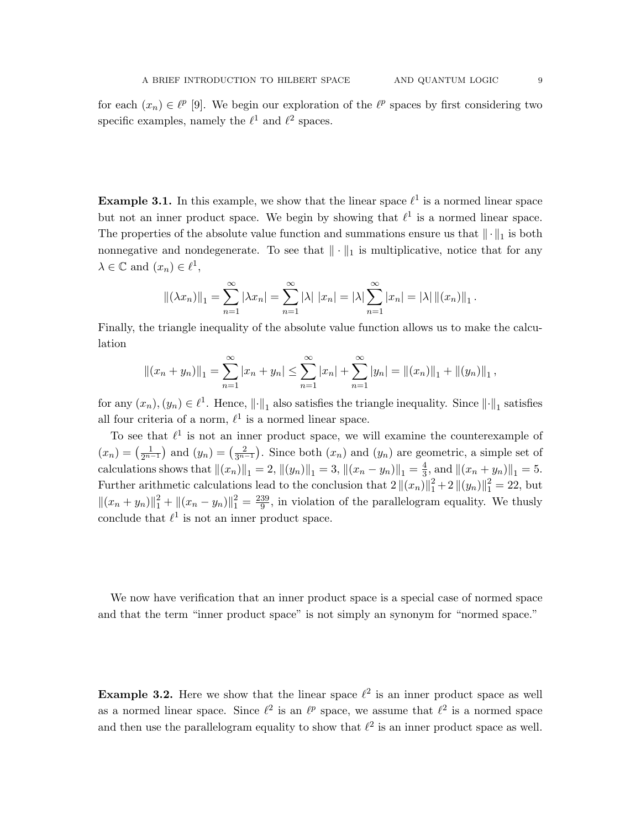for each  $(x_n) \in \ell^p$  [9]. We begin our exploration of the  $\ell^p$  spaces by first considering two specific examples, namely the  $\ell^1$  and  $\ell^2$  spaces.

**Example 3.1.** In this example, we show that the linear space  $\ell^1$  is a normed linear space but not an inner product space. We begin by showing that  $\ell^1$  is a normed linear space. The properties of the absolute value function and summations ensure us that  $\|\cdot\|_1$  is both nonnegative and nondegenerate. To see that  $\|\cdot\|_1$  is multiplicative, notice that for any  $\lambda \in \mathbb{C}$  and  $(x_n) \in \ell^1$ ,

$$
\|(\lambda x_n)\|_1 = \sum_{n=1}^{\infty} |\lambda x_n| = \sum_{n=1}^{\infty} |\lambda| |x_n| = |\lambda| \sum_{n=1}^{\infty} |x_n| = |\lambda| |x_n|
$$

Finally, the triangle inequality of the absolute value function allows us to make the calculation

$$
\left\|(x_n+y_n)\right\|_1 = \sum_{n=1}^{\infty} |x_n+y_n| \le \sum_{n=1}^{\infty} |x_n| + \sum_{n=1}^{\infty} |y_n| = \left\|(x_n)\right\|_1 + \left\|(y_n)\right\|_1,
$$

for any  $(x_n), (y_n) \in \ell^1$ . Hence,  $\|\cdot\|_1$  also satisfies the triangle inequality. Since  $\|\cdot\|_1$  satisfies all four criteria of a norm,  $\ell^1$  is a normed linear space.

To see that  $\ell^1$  is not an inner product space, we will examine the counterexample of  $(x_n) = \left(\frac{1}{2^{n-1}}\right)$  and  $(y_n) = \left(\frac{2}{3^{n-1}}\right)$ . Since both  $(x_n)$  and  $(y_n)$  are geometric, a simple set of calculations shows that  $||(x_n)||_1 = 2$ ,  $||(y_n)||_1 = 3$ ,  $||(x_n - y_n)||_1 = \frac{4}{3}$  $\frac{4}{3}$ , and  $||(x_n + y_n)||_1 = 5$ . Further arithmetic calculations lead to the conclusion that  $2 ||(x_n)||_1^2 + 2 ||(y_n)||_1^2 = 22$ , but  $||(x_n + y_n)||_1^2 + ||(x_n - y_n)||_1^2 = \frac{239}{9}$  $\frac{39}{9}$ , in violation of the parallelogram equality. We thus y conclude that  $\ell^1$  is not an inner product space.

We now have verification that an inner product space is a special case of normed space and that the term "inner product space" is not simply an synonym for "normed space."

**Example 3.2.** Here we show that the linear space  $\ell^2$  is an inner product space as well as a normed linear space. Since  $\ell^2$  is an  $\ell^p$  space, we assume that  $\ell^2$  is a normed space and then use the parallelogram equality to show that  $\ell^2$  is an inner product space as well.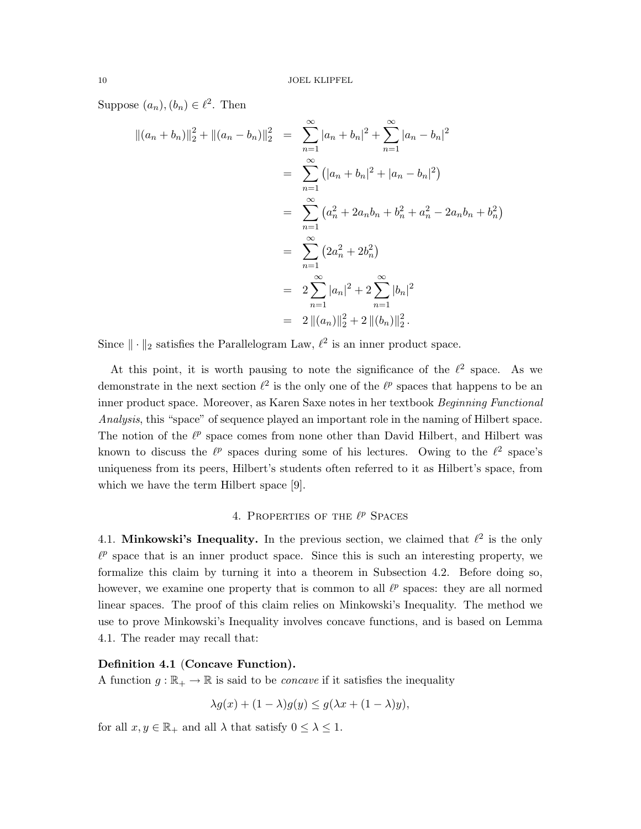Suppose  $(a_n), (b_n) \in \ell^2$ . Then

$$
\begin{split}\n\|(a_n + b_n)\|_2^2 + \|(a_n - b_n)\|_2^2 &= \sum_{n=1}^{\infty} |a_n + b_n|^2 + \sum_{n=1}^{\infty} |a_n - b_n|^2 \\
&= \sum_{n=1}^{\infty} (|a_n + b_n|^2 + |a_n - b_n|^2) \\
&= \sum_{n=1}^{\infty} (a_n^2 + 2a_n b_n + b_n^2 + a_n^2 - 2a_n b_n + b_n^2) \\
&= \sum_{n=1}^{\infty} (2a_n^2 + 2b_n^2) \\
&= 2 \sum_{n=1}^{\infty} |a_n|^2 + 2 \sum_{n=1}^{\infty} |b_n|^2 \\
&= 2 \|(a_n)\|_2^2 + 2 \|[b_n]\|_2^2.\n\end{split}
$$

Since  $\|\cdot\|_2$  satisfies the Parallelogram Law,  $\ell^2$  is an inner product space.

At this point, it is worth pausing to note the significance of the  $\ell^2$  space. As we demonstrate in the next section  $\ell^2$  is the only one of the  $\ell^p$  spaces that happens to be an inner product space. Moreover, as Karen Saxe notes in her textbook Beginning Functional Analysis, this "space" of sequence played an important role in the naming of Hilbert space. The notion of the  $\ell^p$  space comes from none other than David Hilbert, and Hilbert was known to discuss the  $\ell^p$  spaces during some of his lectures. Owing to the  $\ell^2$  space's uniqueness from its peers, Hilbert's students often referred to it as Hilbert's space, from which we have the term Hilbert space [9].

# 4. PROPERTIES OF THE  $\ell^p$  Spaces

4.1. Minkowski's Inequality. In the previous section, we claimed that  $\ell^2$  is the only  $\ell^p$  space that is an inner product space. Since this is such an interesting property, we formalize this claim by turning it into a theorem in Subsection 4.2. Before doing so, however, we examine one property that is common to all  $\ell^p$  spaces: they are all normed linear spaces. The proof of this claim relies on Minkowski's Inequality. The method we use to prove Minkowski's Inequality involves concave functions, and is based on Lemma 4.1. The reader may recall that:

#### Definition 4.1 (Concave Function).

A function  $g : \mathbb{R}_+ \to \mathbb{R}$  is said to be *concave* if it satisfies the inequality

$$
\lambda g(x) + (1 - \lambda)g(y) \le g(\lambda x + (1 - \lambda)y),
$$

for all  $x, y \in \mathbb{R}_+$  and all  $\lambda$  that satisfy  $0 \leq \lambda \leq 1$ .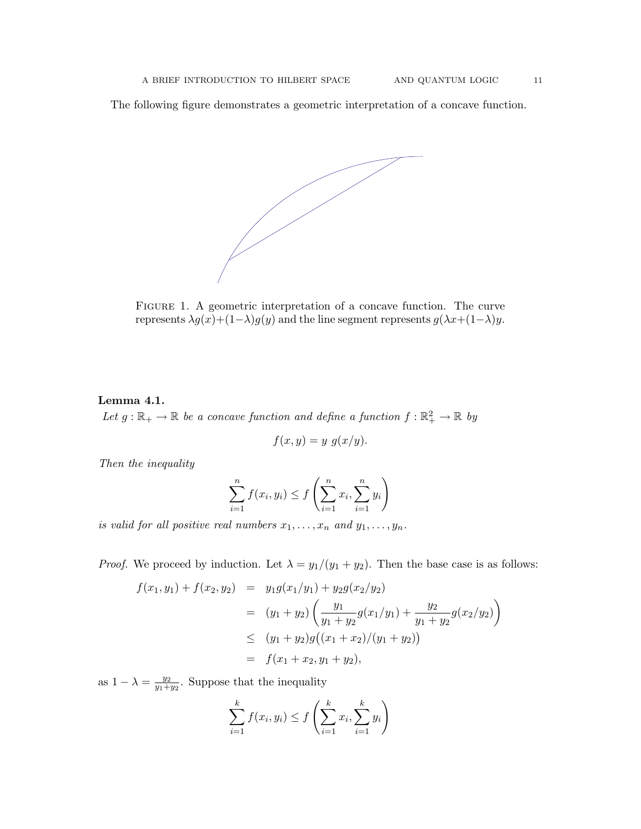The following figure demonstrates a geometric interpretation of a concave function.



FIGURE 1. A geometric interpretation of a concave function. The curve represents  $\lambda g(x)+(1-\lambda)g(y)$  and the line segment represents  $g(\lambda x+(1-\lambda)y)$ .

# Lemma 4.1.

Let  $g : \mathbb{R}_+ \to \mathbb{R}$  be a concave function and define a function  $f : \mathbb{R}_+^2 \to \mathbb{R}$  by

$$
f(x,y) = y \ g(x/y).
$$

Then the inequality

$$
\sum_{i=1}^{n} f(x_i, y_i) \le f\left(\sum_{i=1}^{n} x_i, \sum_{i=1}^{n} y_i\right)
$$

is valid for all positive real numbers  $x_1, \ldots, x_n$  and  $y_1, \ldots, y_n$ .

*Proof.* We proceed by induction. Let  $\lambda = y_1/(y_1 + y_2)$ . Then the base case is as follows:

$$
f(x_1, y_1) + f(x_2, y_2) = y_1 g(x_1/y_1) + y_2 g(x_2/y_2)
$$
  
=  $(y_1 + y_2) \left( \frac{y_1}{y_1 + y_2} g(x_1/y_1) + \frac{y_2}{y_1 + y_2} g(x_2/y_2) \right)$   
 $\leq (y_1 + y_2) g((x_1 + x_2)/(y_1 + y_2))$   
=  $f(x_1 + x_2, y_1 + y_2),$ 

as  $1 - \lambda = \frac{y_2}{y_1 + \lambda}$  $\frac{y_2}{y_1+y_2}$ . Suppose that the inequality

$$
\sum_{i=1}^{k} f(x_i, y_i) \le f\left(\sum_{i=1}^{k} x_i, \sum_{i=1}^{k} y_i\right)
$$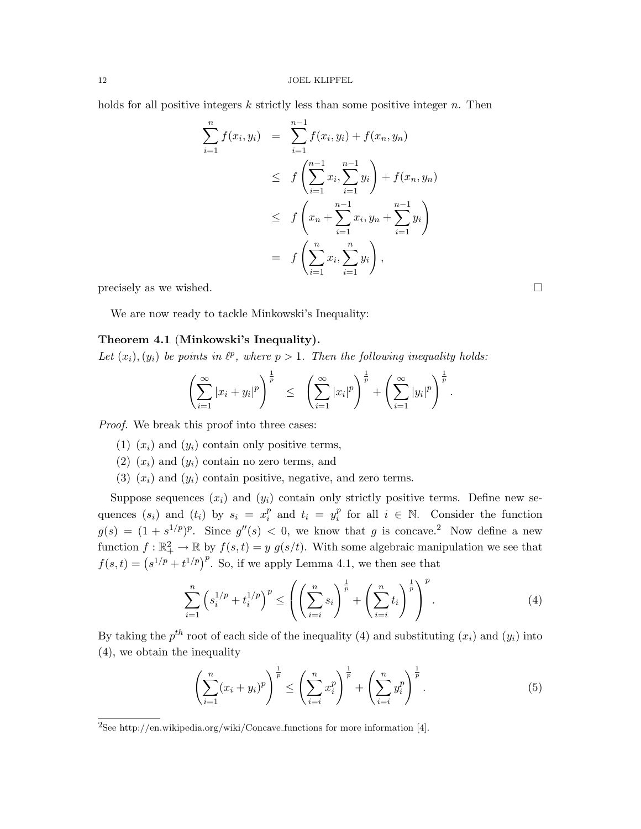holds for all positive integers  $k$  strictly less than some positive integer  $n$ . Then

$$
\sum_{i=1}^{n} f(x_i, y_i) = \sum_{i=1}^{n-1} f(x_i, y_i) + f(x_n, y_n)
$$
\n
$$
\leq f\left(\sum_{i=1}^{n-1} x_i, \sum_{i=1}^{n-1} y_i\right) + f(x_n, y_n)
$$
\n
$$
\leq f\left(x_n + \sum_{i=1}^{n-1} x_i, y_n + \sum_{i=1}^{n-1} y_i\right)
$$
\n
$$
= f\left(\sum_{i=1}^{n} x_i, \sum_{i=1}^{n} y_i\right),
$$

precisely as we wished.  $\square$ 

We are now ready to tackle Minkowski's Inequality:

# Theorem 4.1 (Minkowski's Inequality).

Let  $(x_i)$ ,  $(y_i)$  be points in  $\ell^p$ , where  $p > 1$ . Then the following inequality holds:

$$
\left(\sum_{i=1}^{\infty} |x_i + y_i|^p\right)^{\frac{1}{p}} \leq \left(\sum_{i=1}^{\infty} |x_i|^p\right)^{\frac{1}{p}} + \left(\sum_{i=1}^{\infty} |y_i|^p\right)^{\frac{1}{p}}.
$$

Proof. We break this proof into three cases:

- (1)  $(x_i)$  and  $(y_i)$  contain only positive terms,
- $(2)$   $(x_i)$  and  $(y_i)$  contain no zero terms, and
- (3)  $(x_i)$  and  $(y_i)$  contain positive, negative, and zero terms.

Suppose sequences  $(x_i)$  and  $(y_i)$  contain only strictly positive terms. Define new sequences  $(s_i)$  and  $(t_i)$  by  $s_i = x_i^p$  $i$ <sup>p</sup> and  $t_i = y_i^p$  $i \atop i$  for all  $i \in \mathbb{N}$ . Consider the function  $g(s) = (1 + s^{1/p})^p$ . Since  $g''(s) < 0$ , we know that g is concave.<sup>2</sup> Now define a new function  $f: \mathbb{R}^2_+ \to \mathbb{R}$  by  $f(s,t) = y$   $g(s/t)$ . With some algebraic manipulation we see that  $f(s,t) = (s^{1/p} + t^{1/p})^p$ . So, if we apply Lemma 4.1, we then see that

$$
\sum_{i=1}^{n} \left( s_i^{1/p} + t_i^{1/p} \right)^p \le \left( \left( \sum_{i=i}^{n} s_i \right)^{\frac{1}{p}} + \left( \sum_{i=i}^{n} t_i \right)^{\frac{1}{p}} \right)^p.
$$
 (4)

By taking the  $p^{th}$  root of each side of the inequality (4) and substituting  $(x_i)$  and  $(y_i)$  into (4), we obtain the inequality

$$
\left(\sum_{i=1}^{n} (x_i + y_i)^p\right)^{\frac{1}{p}} \le \left(\sum_{i=i}^{n} x_i^p\right)^{\frac{1}{p}} + \left(\sum_{i=i}^{n} y_i^p\right)^{\frac{1}{p}}.
$$
\n(5)

<sup>2</sup>See http://en.wikipedia.org/wiki/Concave functions for more information [4].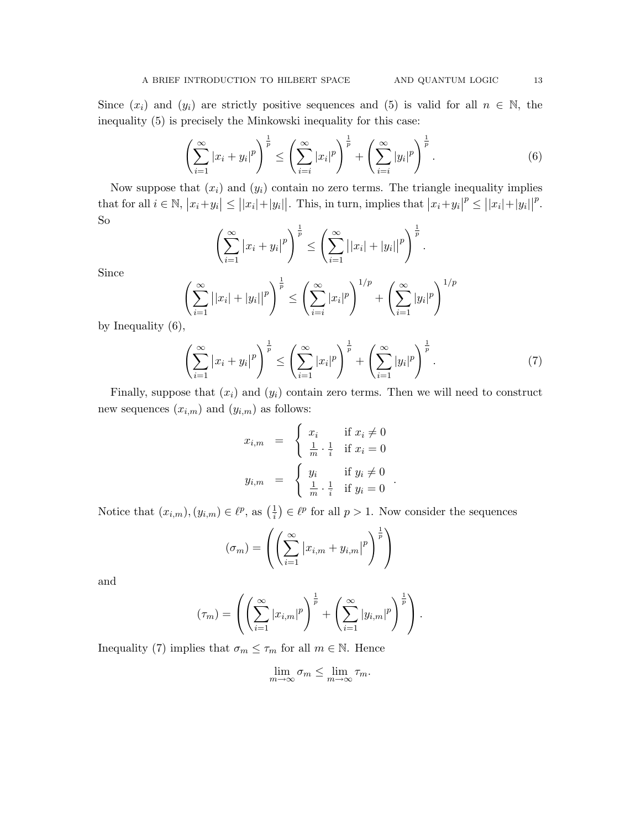Since  $(x_i)$  and  $(y_i)$  are strictly positive sequences and (5) is valid for all  $n \in \mathbb{N}$ , the inequality (5) is precisely the Minkowski inequality for this case:

$$
\left(\sum_{i=1}^{\infty} |x_i + y_i|^p\right)^{\frac{1}{p}} \le \left(\sum_{i=i}^{\infty} |x_i|^p\right)^{\frac{1}{p}} + \left(\sum_{i=i}^{\infty} |y_i|^p\right)^{\frac{1}{p}}.\tag{6}
$$

Now suppose that  $(x_i)$  and  $(y_i)$  contain no zero terms. The triangle inequality implies that for all  $i \in \mathbb{N}$ ,  $|x_i + y_i| \leq ||x_i| + |y_i||$ . This, in turn, implies that  $|x_i + y_i|^p \leq ||x_i| + |y_i||$ p . So

$$
\left(\sum_{i=1}^{\infty} |x_i + y_i|^p\right)^{\frac{1}{p}} \le \left(\sum_{i=1}^{\infty} ||x_i| + |y_i||^p\right)^{\frac{1}{p}}.
$$

Since

$$
\left(\sum_{i=1}^{\infty} ||x_i| + |y_i||^p\right)^{\frac{1}{p}} \le \left(\sum_{i=i}^{\infty} |x_i|^p\right)^{1/p} + \left(\sum_{i=1}^{\infty} |y_i|^p\right)^{1/p}
$$

by Inequality (6),

$$
\left(\sum_{i=1}^{\infty} |x_i + y_i|^p\right)^{\frac{1}{p}} \le \left(\sum_{i=1}^{\infty} |x_i|^p\right)^{\frac{1}{p}} + \left(\sum_{i=1}^{\infty} |y_i|^p\right)^{\frac{1}{p}}.
$$
 (7)

.

Finally, suppose that  $(x_i)$  and  $(y_i)$  contain zero terms. Then we will need to construct new sequences  $(x_{i,m})$  and  $(y_{i,m})$  as follows:

$$
x_{i,m} = \begin{cases} x_i & \text{if } x_i \neq 0 \\ \frac{1}{m} \cdot \frac{1}{i} & \text{if } x_i = 0 \end{cases}
$$

$$
y_{i,m} = \begin{cases} y_i & \text{if } y_i \neq 0 \\ \frac{1}{m} \cdot \frac{1}{i} & \text{if } y_i = 0 \end{cases}
$$

Notice that  $(x_{i,m}), (y_{i,m}) \in \ell^p$ , as  $\left(\frac{1}{i}\right)$  $(\frac{1}{i}) \in \ell^p$  for all  $p > 1$ . Now consider the sequences

$$
(\sigma_m) = \left( \left( \sum_{i=1}^{\infty} |x_{i,m} + y_{i,m}|^p \right)^{\frac{1}{p}} \right)
$$

and

$$
(\tau_m) = \left( \left( \sum_{i=1}^{\infty} |x_{i,m}|^p \right)^{\frac{1}{p}} + \left( \sum_{i=1}^{\infty} |y_{i,m}|^p \right)^{\frac{1}{p}} \right).
$$

Inequality (7) implies that  $\sigma_m \leq \tau_m$  for all  $m \in \mathbb{N}$ . Hence

$$
\lim_{m \to \infty} \sigma_m \le \lim_{m \to \infty} \tau_m.
$$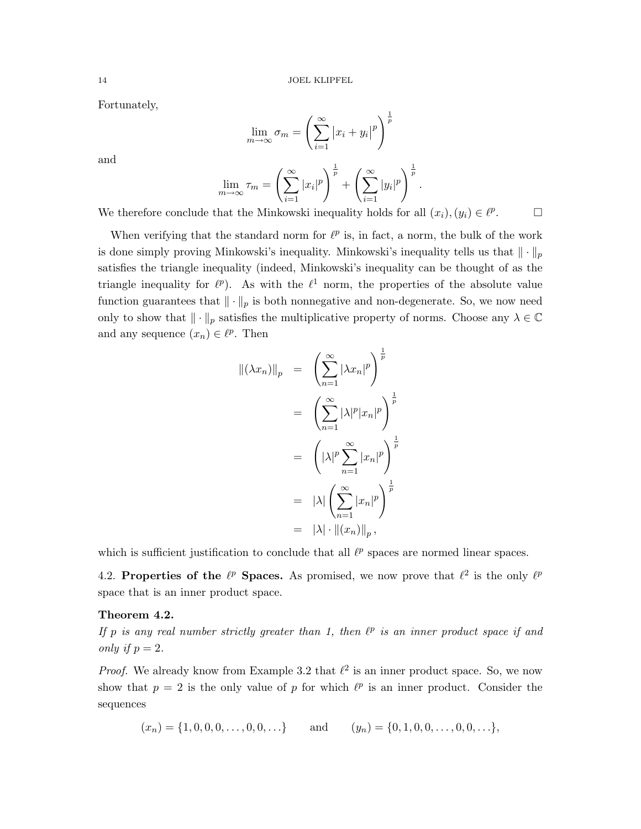Fortunately,

$$
\lim_{m \to \infty} \sigma_m = \left(\sum_{i=1}^{\infty} |x_i + y_i|^p\right)^{\frac{1}{p}}
$$

and

$$
\lim_{m \to \infty} \tau_m = \left(\sum_{i=1}^{\infty} |x_i|^p\right)^{\frac{1}{p}} + \left(\sum_{i=1}^{\infty} |y_i|^p\right)^{\frac{1}{p}}.
$$

 $\Box$ 

We therefore conclude that the Minkowski inequality holds for all  $(x_i), (y_i) \in \ell^p$ 

When verifying that the standard norm for  $\ell^p$  is, in fact, a norm, the bulk of the work is done simply proving Minkowski's inequality. Minkowski's inequality tells us that  $\|\cdot\|_p$ satisfies the triangle inequality (indeed, Minkowski's inequality can be thought of as the triangle inequality for  $\ell^p$ ). As with the  $\ell^1$  norm, the properties of the absolute value function guarantees that  $\|\cdot\|_p$  is both nonnegative and non-degenerate. So, we now need only to show that  $\|\cdot\|_p$  satisfies the multiplicative property of norms. Choose any  $\lambda \in \mathbb{C}$ and any sequence  $(x_n) \in \ell^p$ . Then

$$
\begin{aligned}\n\left\| (\lambda x_n) \right\|_p &= \left( \sum_{n=1}^{\infty} |\lambda x_n|^p \right)^{\frac{1}{p}} \\
&= \left( \sum_{n=1}^{\infty} |\lambda|^p |x_n|^p \right)^{\frac{1}{p}} \\
&= \left( |\lambda|^p \sum_{n=1}^{\infty} |x_n|^p \right)^{\frac{1}{p}} \\
&= |\lambda| \left( \sum_{n=1}^{\infty} |x_n|^p \right)^{\frac{1}{p}} \\
&= |\lambda| \cdot \left\| (x_n) \right\|_p,\n\end{aligned}
$$

which is sufficient justification to conclude that all  $\ell^p$  spaces are normed linear spaces.

4.2. Properties of the  $\ell^p$  Spaces. As promised, we now prove that  $\ell^2$  is the only  $\ell^p$ space that is an inner product space.

# Theorem 4.2.

If p is any real number strictly greater than 1, then  $\ell^p$  is an inner product space if and only if  $p = 2$ .

*Proof.* We already know from Example 3.2 that  $\ell^2$  is an inner product space. So, we now show that  $p = 2$  is the only value of p for which  $\ell^p$  is an inner product. Consider the sequences

$$
(x_n) = \{1, 0, 0, 0, \dots, 0, 0, \dots\}
$$
 and  $(y_n) = \{0, 1, 0, 0, \dots, 0, 0, \dots\},$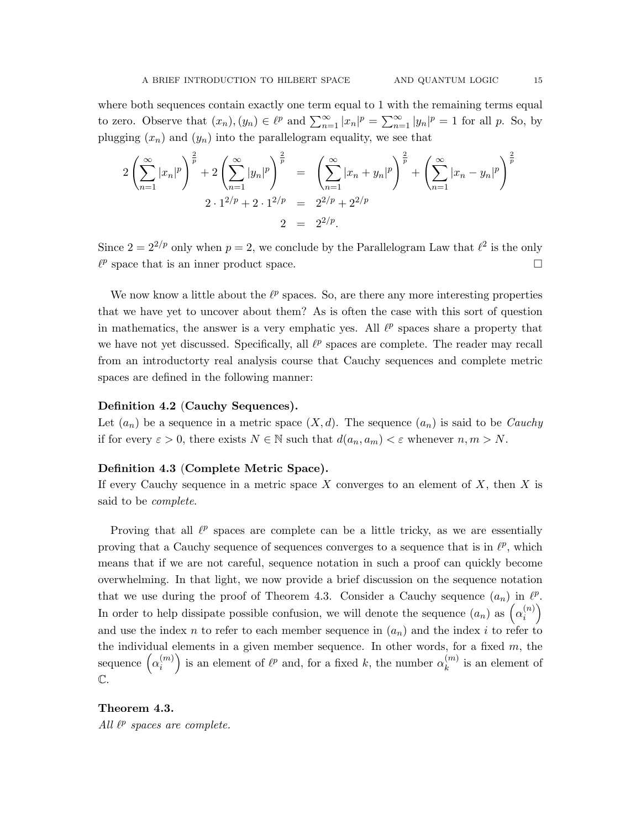where both sequences contain exactly one term equal to 1 with the remaining terms equal to zero. Observe that  $(x_n), (y_n) \in \ell^p$  and  $\sum_{n=1}^{\infty} |x_n|^p = \sum_{n=1}^{\infty} |y_n|^p = 1$  for all p. So, by plugging  $(x_n)$  and  $(y_n)$  into the parallelogram equality, we see that

$$
2\left(\sum_{n=1}^{\infty} |x_n|^p\right)^{\frac{2}{p}} + 2\left(\sum_{n=1}^{\infty} |y_n|^p\right)^{\frac{2}{p}} = \left(\sum_{n=1}^{\infty} |x_n + y_n|^p\right)^{\frac{2}{p}} + \left(\sum_{n=1}^{\infty} |x_n - y_n|^p\right)^{\frac{2}{p}}
$$
  

$$
2 \cdot 1^{2/p} + 2 \cdot 1^{2/p} = 2^{2/p} + 2^{2/p}
$$
  

$$
2 = 2^{2/p}.
$$

Since  $2 = 2^{2/p}$  only when  $p = 2$ , we conclude by the Parallelogram Law that  $\ell^2$  is the only  $\ell^p$  space that is an inner product space.

We now know a little about the  $\ell^p$  spaces. So, are there any more interesting properties that we have yet to uncover about them? As is often the case with this sort of question in mathematics, the answer is a very emphatic yes. All  $\ell^p$  spaces share a property that we have not yet discussed. Specifically, all  $\ell^p$  spaces are complete. The reader may recall from an introductorty real analysis course that Cauchy sequences and complete metric spaces are defined in the following manner:

#### Definition 4.2 (Cauchy Sequences).

Let  $(a_n)$  be a sequence in a metric space  $(X, d)$ . The sequence  $(a_n)$  is said to be *Cauchy* if for every  $\varepsilon > 0$ , there exists  $N \in \mathbb{N}$  such that  $d(a_n, a_m) < \varepsilon$  whenever  $n, m > N$ .

#### Definition 4.3 (Complete Metric Space).

If every Cauchy sequence in a metric space X converges to an element of X, then X is said to be complete.

Proving that all  $\ell^p$  spaces are complete can be a little tricky, as we are essentially proving that a Cauchy sequence of sequences converges to a sequence that is in  $\ell^p$ , which means that if we are not careful, sequence notation in such a proof can quickly become overwhelming. In that light, we now provide a brief discussion on the sequence notation that we use during the proof of Theorem 4.3. Consider a Cauchy sequence  $(a_n)$  in  $\ell^p$ . In order to help dissipate possible confusion, we will denote the sequence  $(a_n)$  as  $\left(\alpha_i^{(n)}\right)$  $\genfrac(){0cm}{0}{(n)}{i}$ and use the index n to refer to each member sequence in  $(a_n)$  and the index i to refer to the individual elements in a given member sequence. In other words, for a fixed  $m$ , the sequence  $\left(\alpha_i^{(m)}\right)$  $\binom{m}{i}$  is an element of  $\ell^p$  and, for a fixed k, the number  $\alpha_k^{(m)}$  $\binom{m}{k}$  is an element of  $\mathbb{C}$ .

Theorem 4.3. All  $\ell^p$  spaces are complete.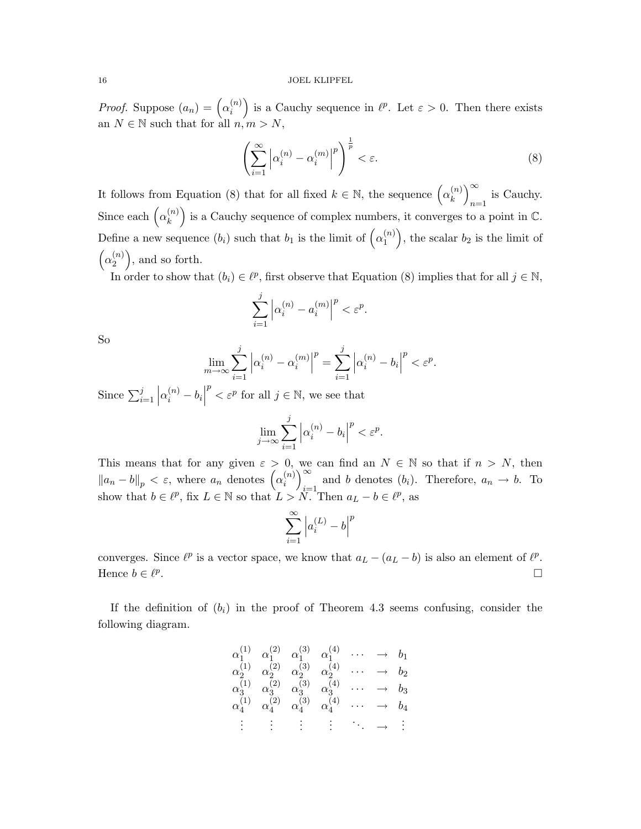*Proof.* Suppose  $(a_n) = \left(\alpha_i^{(n)}\right)$  $\binom{n}{i}$  is a Cauchy sequence in  $\ell^p$ . Let  $\varepsilon > 0$ . Then there exists an  $N \in \mathbb{N}$  such that for all  $n, m > N$ ,

$$
\left(\sum_{i=1}^{\infty} \left| \alpha_i^{(n)} - \alpha_i^{(m)} \right|^p \right)^{\frac{1}{p}} < \varepsilon. \tag{8}
$$

It follows from Equation (8) that for all fixed  $k \in \mathbb{N}$ , the sequence  $\left(\alpha_k^{(n)}\right)$  $\binom{n}{k}^{\infty}$ is Cauchy. Since each  $\left(\alpha_k^{(n)}\right)$  ${k \choose k}$  is a Cauchy sequence of complex numbers, it converges to a point in  $\mathbb{C}$ . Define a new sequence  $(b_i)$  such that  $b_1$  is the limit of  $(\alpha_1^{(n)})$  $\binom{n}{1}$ , the scalar  $b_2$  is the limit of  $\left(\alpha_2^{(n)}\right)$  $\binom{n}{2}$ , and so forth.

In order to show that  $(b_i) \in \ell^p$ , first observe that Equation (8) implies that for all  $j \in \mathbb{N}$ ,

$$
\sum_{i=1}^{j} \left| \alpha_i^{(n)} - a_i^{(m)} \right|^p < \varepsilon^p.
$$

So

$$
\lim_{m \to \infty} \sum_{i=1}^{j} \left| \alpha_i^{(n)} - \alpha_i^{(m)} \right|^p = \sum_{i=1}^{j} \left| \alpha_i^{(n)} - b_i \right|^p < \varepsilon^p.
$$

Since  $\sum_{i=1}^{j}$  $\alpha_i^{(n)} - b_i$  $p^p < \varepsilon^p$  for all  $j \in \mathbb{N}$ , we see that

$$
\lim_{j \to \infty} \sum_{i=1}^{j} \left| \alpha_i^{(n)} - b_i \right|^p < \varepsilon^p.
$$

This means that for any given  $\varepsilon > 0$ , we can find an  $N \in \mathbb{N}$  so that if  $n > N$ , then  $\|a_n - b\|_p < \varepsilon$ , where  $a_n$  denotes  $(\alpha_i^{(n)})$  $\binom{n}{i}$ and b denotes  $(b_i)$ . Therefore,  $a_n \to b$ . To show that  $b \in \ell^p$ , fix  $L \in \mathbb{N}$  so that  $L > N$ . Then  $a_L - b \in \ell^p$ , as

$$
\sum_{i=1}^{\infty}\left|a_{i}^{(L)}-b\right|^{p}
$$

converges. Since  $\ell^p$  is a vector space, we know that  $a_L - (a_L - b)$  is also an element of  $\ell^p$ . Hence  $b \in \ell^p$ . В последните поставите на селото на селото на селото на селото на селото на селото на селото на селото на се<br>Селото на селото на селото на селото на селото на селото на селото на селото на селото на селото на селото на

If the definition of  $(b_i)$  in the proof of Theorem 4.3 seems confusing, consider the following diagram.

$$
\alpha_1^{(1)} \quad \alpha_1^{(2)} \quad \alpha_1^{(3)} \quad \alpha_1^{(4)} \quad \cdots \quad \rightarrow \quad b_1
$$
\n
$$
\alpha_2^{(1)} \quad \alpha_2^{(2)} \quad \alpha_2^{(3)} \quad \alpha_2^{(4)} \quad \cdots \quad \rightarrow \quad b_2
$$
\n
$$
\alpha_3^{(1)} \quad \alpha_3^{(2)} \quad \alpha_3^{(3)} \quad \alpha_3^{(4)} \quad \cdots \quad \rightarrow \quad b_3
$$
\n
$$
\alpha_4^{(1)} \quad \alpha_4^{(2)} \quad \alpha_4^{(3)} \quad \alpha_4^{(4)} \quad \cdots \quad \rightarrow \quad b_4
$$
\n
$$
\vdots \quad \vdots \quad \vdots \quad \vdots \quad \cdots \quad \rightarrow \quad \vdots
$$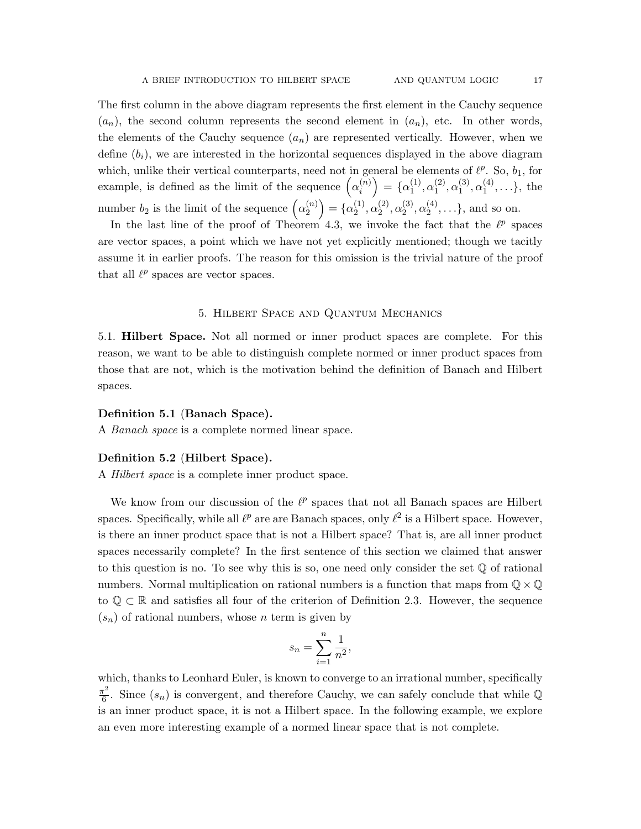The first column in the above diagram represents the first element in the Cauchy sequence  $(a_n)$ , the second column represents the second element in  $(a_n)$ , etc. In other words, the elements of the Cauchy sequence  $(a_n)$  are represented vertically. However, when we define  $(b_i)$ , we are interested in the horizontal sequences displayed in the above diagram which, unlike their vertical counterparts, need not in general be elements of  $\ell^p$ . So,  $b_1$ , for example, is defined as the limit of the sequence  $(\alpha_i^{(n)})$  $\binom{n}{i} = \{\alpha_1^{(1)}\}$  $\binom{11}{1}, \alpha_1^{(2)}$  $\alpha_1^{(2)}, \alpha_1^{(3)}$  $\overset{(3)}{1},\overset{(4)}{\alpha_1^{(4)}}$  $\{^{(4)}_1, \ldots \}$ , the number  $b_2$  is the limit of the sequence  $\left(\alpha_2^{(n)}\right)$  $\binom{n}{2} = \{\alpha_2^{(1)}\}$  $\stackrel{(1)}{2}, \stackrel{(2)}{2}$  $\stackrel{(2)}{2},\stackrel{(3)}{2}$  $\stackrel{(3)}{2},\stackrel{(4)}{2}$  $\binom{4}{2}, \ldots$ , and so on.

In the last line of the proof of Theorem 4.3, we invoke the fact that the  $\ell^p$  spaces are vector spaces, a point which we have not yet explicitly mentioned; though we tacitly assume it in earlier proofs. The reason for this omission is the trivial nature of the proof that all  $\ell^p$  spaces are vector spaces.

#### 5. Hilbert Space and Quantum Mechanics

5.1. Hilbert Space. Not all normed or inner product spaces are complete. For this reason, we want to be able to distinguish complete normed or inner product spaces from those that are not, which is the motivation behind the definition of Banach and Hilbert spaces.

#### Definition 5.1 (Banach Space).

A Banach space is a complete normed linear space.

#### Definition 5.2 (Hilbert Space).

A Hilbert space is a complete inner product space.

We know from our discussion of the  $\ell^p$  spaces that not all Banach spaces are Hilbert spaces. Specifically, while all  $\ell^p$  are are Banach spaces, only  $\ell^2$  is a Hilbert space. However, is there an inner product space that is not a Hilbert space? That is, are all inner product spaces necessarily complete? In the first sentence of this section we claimed that answer to this question is no. To see why this is so, one need only consider the set Q of rational numbers. Normal multiplication on rational numbers is a function that maps from  $\mathbb{Q} \times \mathbb{Q}$ to  $\mathbb{Q} \subset \mathbb{R}$  and satisfies all four of the criterion of Definition 2.3. However, the sequence  $(s_n)$  of rational numbers, whose *n* term is given by

$$
s_n = \sum_{i=1}^n \frac{1}{n^2},
$$

which, thanks to Leonhard Euler, is known to converge to an irrational number, specifically  $\pi^2$  $\frac{\pi^2}{6}$ . Since  $(s_n)$  is convergent, and therefore Cauchy, we can safely conclude that while Q is an inner product space, it is not a Hilbert space. In the following example, we explore an even more interesting example of a normed linear space that is not complete.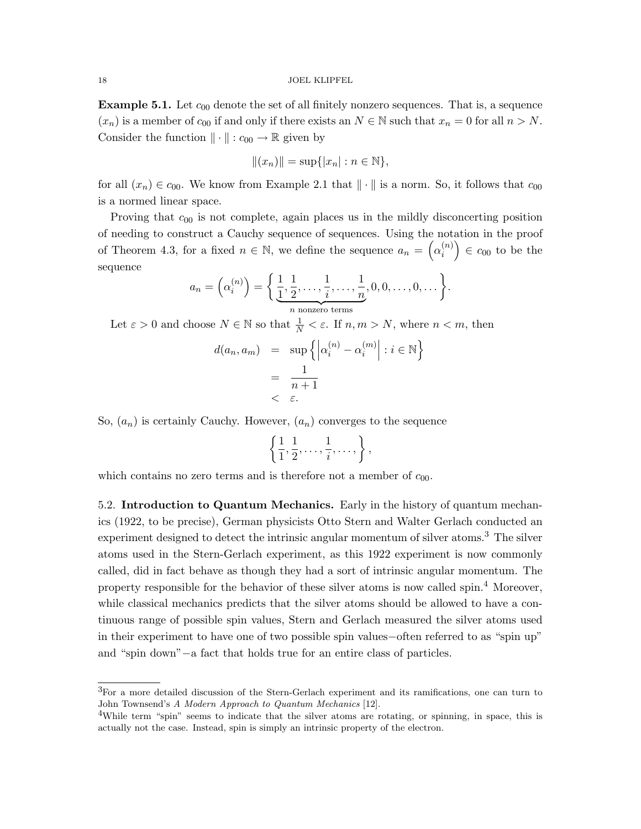**Example 5.1.** Let  $c_{00}$  denote the set of all finitely nonzero sequences. That is, a sequence  $(x_n)$  is a member of  $c_{00}$  if and only if there exists an  $N \in \mathbb{N}$  such that  $x_n = 0$  for all  $n > N$ . Consider the function  $\|\cdot\|$  :  $c_{00} \to \mathbb{R}$  given by

$$
||(x_n)|| = \sup\{|x_n| : n \in \mathbb{N}\},\
$$

for all  $(x_n) \in c_{00}$ . We know from Example 2.1 that  $\|\cdot\|$  is a norm. So, it follows that  $c_{00}$ is a normed linear space.

Proving that  $c_{00}$  is not complete, again places us in the mildly disconcerting position of needing to construct a Cauchy sequence of sequences. Using the notation in the proof of Theorem 4.3, for a fixed  $n \in \mathbb{N}$ , we define the sequence  $a_n = \left(\alpha_i^{(n)}\right)^n$  $\binom{n}{i}$   $\in$   $c_{00}$  to be the sequence

$$
a_n = \left(\alpha_i^{(n)}\right) = \left\{\underbrace{\frac{1}{1}, \frac{1}{2}, \dots, \frac{1}{i}, \dots, \frac{1}{n}}_{n \text{ nonzero terms}}, 0, 0, \dots, 0, \dots\right\}.
$$

Let  $\varepsilon > 0$  and choose  $N \in \mathbb{N}$  so that  $\frac{1}{N} < \varepsilon$ . If  $n, m > N$ , where  $n < m$ , then

$$
d(a_n, a_m) = \sup \{ \left| \alpha_i^{(n)} - \alpha_i^{(m)} \right| : i \in \mathbb{N} \}
$$
  
= 
$$
\frac{1}{n+1}
$$
  
<  $\varepsilon$ .

So,  $(a_n)$  is certainly Cauchy. However,  $(a_n)$  converges to the sequence

$$
\left\{\frac{1}{1},\frac{1}{2},\ldots,\frac{1}{i},\ldots,\right\},\
$$

which contains no zero terms and is therefore not a member of  $c_{00}$ .

5.2. Introduction to Quantum Mechanics. Early in the history of quantum mechanics (1922, to be precise), German physicists Otto Stern and Walter Gerlach conducted an experiment designed to detect the intrinsic angular momentum of silver atoms.<sup>3</sup> The silver atoms used in the Stern-Gerlach experiment, as this 1922 experiment is now commonly called, did in fact behave as though they had a sort of intrinsic angular momentum. The property responsible for the behavior of these silver atoms is now called spin.<sup>4</sup> Moreover, while classical mechanics predicts that the silver atoms should be allowed to have a continuous range of possible spin values, Stern and Gerlach measured the silver atoms used in their experiment to have one of two possible spin values−often referred to as "spin up" and "spin down"−a fact that holds true for an entire class of particles.

<sup>3</sup>For a more detailed discussion of the Stern-Gerlach experiment and its ramifications, one can turn to John Townsend's A Modern Approach to Quantum Mechanics [12].

<sup>&</sup>lt;sup>4</sup>While term "spin" seems to indicate that the silver atoms are rotating, or spinning, in space, this is actually not the case. Instead, spin is simply an intrinsic property of the electron.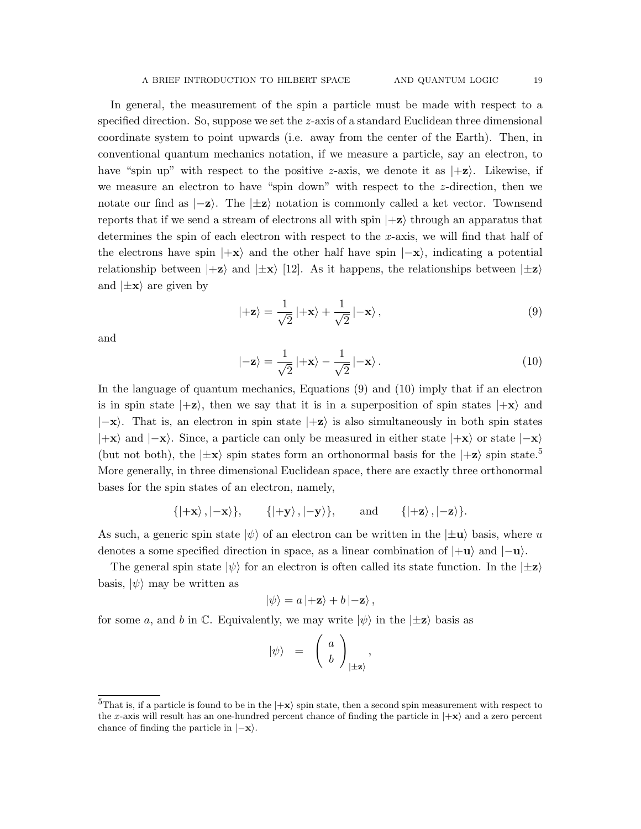In general, the measurement of the spin a particle must be made with respect to a specified direction. So, suppose we set the z-axis of a standard Euclidean three dimensional coordinate system to point upwards (i.e. away from the center of the Earth). Then, in conventional quantum mechanics notation, if we measure a particle, say an electron, to have "spin up" with respect to the positive z-axis, we denote it as  $|+\mathbf{z}\rangle$ . Likewise, if we measure an electron to have "spin down" with respect to the z-direction, then we notate our find as  $\ket{-z}$ . The  $\ket{\pm z}$  notation is commonly called a ket vector. Townsend reports that if we send a stream of electrons all with spin  $|+\mathbf{z}\rangle$  through an apparatus that determines the spin of each electron with respect to the x-axis, we will find that half of the electrons have spin  $|+\mathbf{x}\rangle$  and the other half have spin  $|-\mathbf{x}\rangle$ , indicating a potential relationship between  $|+\mathbf{z}\rangle$  and  $|\pm\mathbf{x}\rangle$  [12]. As it happens, the relationships between  $|\pm\mathbf{z}\rangle$ and  $|\pm \mathbf{x}\rangle$  are given by

$$
|+\mathbf{z}\rangle = \frac{1}{\sqrt{2}}|+\mathbf{x}\rangle + \frac{1}{\sqrt{2}}|-\mathbf{x}\rangle, \qquad (9)
$$

and

$$
|-\mathbf{z}\rangle = \frac{1}{\sqrt{2}} |+\mathbf{x}\rangle - \frac{1}{\sqrt{2}} |-\mathbf{x}\rangle.
$$
 (10)

In the language of quantum mechanics, Equations (9) and (10) imply that if an electron is in spin state  $|+\mathbf{z}\rangle$ , then we say that it is in a superposition of spin states  $|+\mathbf{x}\rangle$  and  $|\mathbf{-x}\rangle$ . That is, an electron in spin state  $|\mathbf{+z}\rangle$  is also simultaneously in both spin states  $|+x\rangle$  and  $|-x\rangle$ . Since, a particle can only be measured in either state  $|+x\rangle$  or state  $|-x\rangle$ (but not both), the  $|\pm \mathbf{x}\rangle$  spin states form an orthonormal basis for the  $|+\mathbf{z}\rangle$  spin state.<sup>5</sup> More generally, in three dimensional Euclidean space, there are exactly three orthonormal bases for the spin states of an electron, namely,

$$
\{ \ket{+{\bf x}}, \ket{-{\bf x}} \}, \qquad \{ \ket{+{\bf y}}, \ket{-{\bf y}} \}, \qquad \text{and} \qquad \{ \ket{+{\bf z}}, \ket{-{\bf z}} \}.
$$

As such, a generic spin state  $|\psi\rangle$  of an electron can be written in the  $|\pm \mathbf{u}\rangle$  basis, where u denotes a some specified direction in space, as a linear combination of  $|+\mathbf{u}\rangle$  and  $|\mathbf{-u}\rangle$ .

The general spin state  $|\psi\rangle$  for an electron is often called its state function. In the  $|\pm \mathbf{z}\rangle$ basis,  $|\psi\rangle$  may be written as

$$
|\psi\rangle = a |+ \mathbf{z}\rangle + b |- \mathbf{z}\rangle ,
$$

for some a, and b in C. Equivalently, we may write  $|\psi\rangle$  in the  $|\pm \mathbf{z}\rangle$  basis as

$$
|\psi\rangle = \left(\begin{array}{c} a \\ b \end{array}\right)_{|\pm \mathbf{z}\rangle},
$$

<sup>&</sup>lt;sup>5</sup>That is, if a particle is found to be in the  $|+\mathbf{x}\rangle$  spin state, then a second spin measurement with respect to the x-axis will result has an one-hundred percent chance of finding the particle in  $|+\mathbf{x}\rangle$  and a zero percent chance of finding the particle in  $|-\mathbf{x}\rangle$ .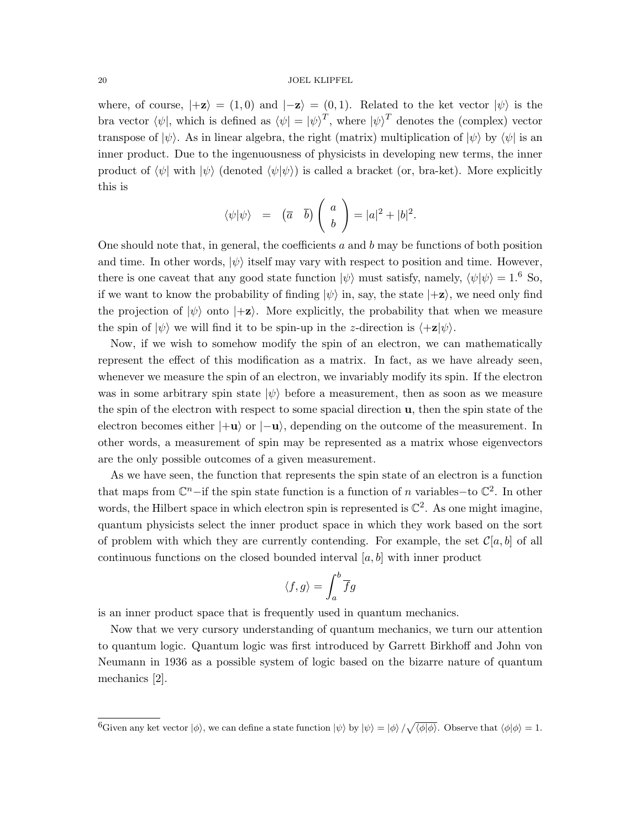### 20 JOEL KLIPFEL

where, of course,  $|+\mathbf{z}\rangle = (1,0)$  and  $|-\mathbf{z}\rangle = (0,1)$ . Related to the ket vector  $|\psi\rangle$  is the bra vector  $\langle \psi |$ , which is defined as  $\langle \psi | = | \psi \rangle^T$ , where  $| \psi \rangle^T$  denotes the (complex) vector transpose of  $|\psi\rangle$ . As in linear algebra, the right (matrix) multiplication of  $|\psi\rangle$  by  $\langle\psi|$  is an inner product. Due to the ingenuousness of physicists in developing new terms, the inner product of  $\langle \psi | \text{ with } | \psi \rangle$  (denoted  $\langle \psi | \psi \rangle$ ) is called a bracket (or, bra-ket). More explicitly this is

$$
\langle \psi | \psi \rangle = (\overline{a} \ \overline{b}) \begin{pmatrix} a \\ b \end{pmatrix} = |a|^2 + |b|^2.
$$

One should note that, in general, the coefficients a and b may be functions of both position and time. In other words,  $|\psi\rangle$  itself may vary with respect to position and time. However, there is one caveat that any good state function  $|\psi\rangle$  must satisfy, namely,  $\langle \psi | \psi \rangle = 1.6$  So, if we want to know the probability of finding  $|\psi\rangle$  in, say, the state  $|+\mathbf{z}\rangle$ , we need only find the projection of  $|\psi\rangle$  onto  $|\pm \mathbf{z}\rangle$ . More explicitly, the probability that when we measure the spin of  $|\psi\rangle$  we will find it to be spin-up in the *z*-direction is  $\langle +\mathbf{z}|\psi\rangle$ .

Now, if we wish to somehow modify the spin of an electron, we can mathematically represent the effect of this modification as a matrix. In fact, as we have already seen, whenever we measure the spin of an electron, we invariably modify its spin. If the electron was in some arbitrary spin state  $|\psi\rangle$  before a measurement, then as soon as we measure the spin of the electron with respect to some spacial direction u, then the spin state of the electron becomes either  $|+\mathbf{u}\rangle$  or  $|-\mathbf{u}\rangle$ , depending on the outcome of the measurement. In other words, a measurement of spin may be represented as a matrix whose eigenvectors are the only possible outcomes of a given measurement.

As we have seen, the function that represents the spin state of an electron is a function that maps from  $\mathbb{C}^n$ -if the spin state function is a function of n variables-to  $\mathbb{C}^2$ . In other words, the Hilbert space in which electron spin is represented is  $\mathbb{C}^2$ . As one might imagine, quantum physicists select the inner product space in which they work based on the sort of problem with which they are currently contending. For example, the set  $\mathcal{C}[a, b]$  of all continuous functions on the closed bounded interval  $[a, b]$  with inner product

$$
\langle f, g \rangle = \int_a^b \overline{f} g
$$

is an inner product space that is frequently used in quantum mechanics.

Now that we very cursory understanding of quantum mechanics, we turn our attention to quantum logic. Quantum logic was first introduced by Garrett Birkhoff and John von Neumann in 1936 as a possible system of logic based on the bizarre nature of quantum mechanics [2].

<sup>&</sup>lt;sup>6</sup>Given any ket vector  $|\phi\rangle$ , we can define a state function  $|\psi\rangle$  by  $|\psi\rangle = |\phi\rangle / \sqrt{\langle \phi | \phi \rangle}$ . Observe that  $\langle \phi | \phi \rangle = 1$ .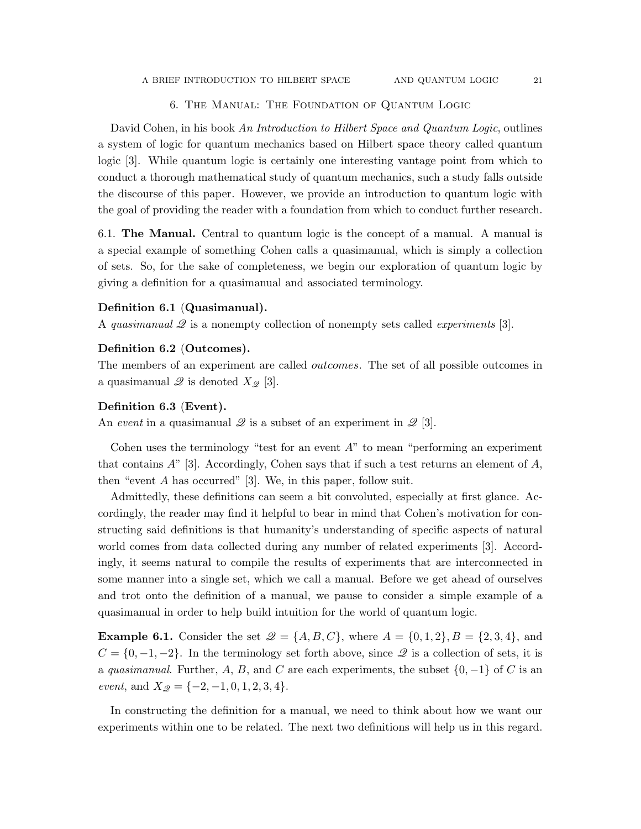### 6. The Manual: The Foundation of Quantum Logic

David Cohen, in his book An Introduction to Hilbert Space and Quantum Logic, outlines a system of logic for quantum mechanics based on Hilbert space theory called quantum logic [3]. While quantum logic is certainly one interesting vantage point from which to conduct a thorough mathematical study of quantum mechanics, such a study falls outside the discourse of this paper. However, we provide an introduction to quantum logic with the goal of providing the reader with a foundation from which to conduct further research.

6.1. The Manual. Central to quantum logic is the concept of a manual. A manual is a special example of something Cohen calls a quasimanual, which is simply a collection of sets. So, for the sake of completeness, we begin our exploration of quantum logic by giving a definition for a quasimanual and associated terminology.

#### Definition 6.1 (Quasimanual).

A quasimanual  $\mathscr Q$  is a nonempty collection of nonempty sets called *experiments* [3].

### Definition 6.2 (Outcomes).

The members of an experiment are called outcomes. The set of all possible outcomes in a quasimanual  $\mathscr Q$  is denoted  $X_{\mathscr Q}$  [3].

#### Definition 6.3 (Event).

An event in a quasimanual  $\mathscr Q$  is a subset of an experiment in  $\mathscr Q$  [3].

Cohen uses the terminology "test for an event  $A$ " to mean "performing an experiment that contains  $A^{\prime\prime}$  [3]. Accordingly, Cohen says that if such a test returns an element of  $A$ , then "event A has occurred" [3]. We, in this paper, follow suit.

Admittedly, these definitions can seem a bit convoluted, especially at first glance. Accordingly, the reader may find it helpful to bear in mind that Cohen's motivation for constructing said definitions is that humanity's understanding of specific aspects of natural world comes from data collected during any number of related experiments [3]. Accordingly, it seems natural to compile the results of experiments that are interconnected in some manner into a single set, which we call a manual. Before we get ahead of ourselves and trot onto the definition of a manual, we pause to consider a simple example of a quasimanual in order to help build intuition for the world of quantum logic.

**Example 6.1.** Consider the set  $\mathcal{Q} = \{A, B, C\}$ , where  $A = \{0, 1, 2\}$ ,  $B = \{2, 3, 4\}$ , and  $C = \{0, -1, -2\}$ . In the terminology set forth above, since  $\mathscr Q$  is a collection of sets, it is a quasimanual. Further, A, B, and C are each experiments, the subset  $\{0, -1\}$  of C is an event, and  $X_{\mathcal{Q}} = \{-2, -1, 0, 1, 2, 3, 4\}.$ 

In constructing the definition for a manual, we need to think about how we want our experiments within one to be related. The next two definitions will help us in this regard.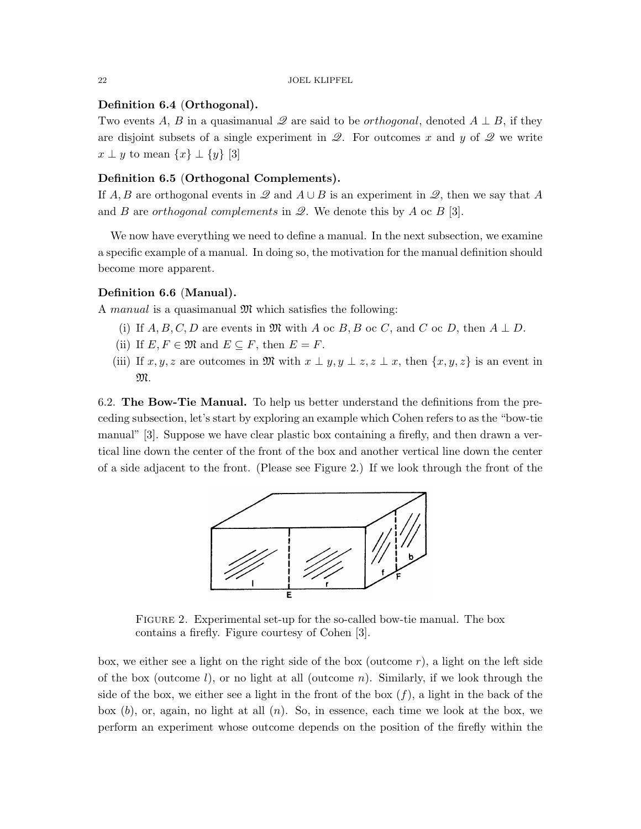## Definition 6.4 (Orthogonal).

Two events A, B in a quasimanual  $\mathscr Q$  are said to be *orthogonal*, denoted  $A \perp B$ , if they are disjoint subsets of a single experiment in  $\mathscr{Q}$ . For outcomes x and y of  $\mathscr{Q}$  we write  $x \perp y$  to mean  $\{x\} \perp \{y\}$  [3]

# Definition 6.5 (Orthogonal Complements).

If A, B are orthogonal events in  $\mathscr Q$  and  $A \cup B$  is an experiment in  $\mathscr Q$ , then we say that A and B are *orthogonal complements* in  $\mathscr Q$ . We denote this by A oc B [3].

We now have everything we need to define a manual. In the next subsection, we examine a specific example of a manual. In doing so, the motivation for the manual definition should become more apparent.

# Definition 6.6 (Manual).

A *manual* is a quasimanual  $\mathfrak{M}$  which satisfies the following:

- (i) If  $A, B, C, D$  are events in  $\mathfrak{M}$  with A oc B, B oc C, and C oc D, then  $A \perp D$ .
- (ii) If  $E, F \in \mathfrak{M}$  and  $E \subseteq F$ , then  $E = F$ .
- (iii) If  $x, y, z$  are outcomes in M with  $x \perp y, y \perp z, z \perp x$ , then  $\{x, y, z\}$  is an event in M.

6.2. The Bow-Tie Manual. To help us better understand the definitions from the preceding subsection, let's start by exploring an example which Cohen refers to as the "bow-tie manual" [3]. Suppose we have clear plastic box containing a firefly, and then drawn a vertical line down the center of the front of the box and another vertical line down the center of a side adjacent to the front. (Please see Figure 2.) If we look through the front of the



Figure 2. Experimental set-up for the so-called bow-tie manual. The box contains a firefly. Figure courtesy of Cohen [3].

box, we either see a light on the right side of the box (outcome  $r$ ), a light on the left side of the box (outcome l), or no light at all (outcome n). Similarly, if we look through the side of the box, we either see a light in the front of the box  $(f)$ , a light in the back of the box  $(b)$ , or, again, no light at all  $(n)$ . So, in essence, each time we look at the box, we perform an experiment whose outcome depends on the position of the firefly within the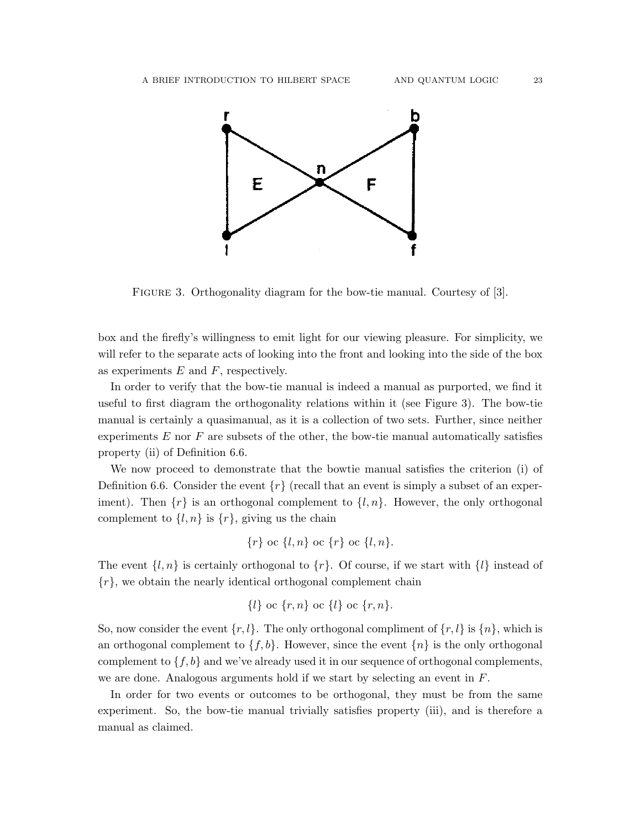

FIGURE 3. Orthogonality diagram for the bow-tie manual. Courtesy of [3].

box and the firefly's willingness to emit light for our viewing pleasure. For simplicity, we will refer to the separate acts of looking into the front and looking into the side of the box as experiments  $E$  and  $F$ , respectively.

In order to verify that the bow-tie manual is indeed a manual as purported, we find it useful to first diagram the orthogonality relations within it (see Figure 3). The bow-tie manual is certainly a quasimanual, as it is a collection of two sets. Further, since neither experiments  $E$  nor  $F$  are subsets of the other, the bow-tie manual automatically satisfies property (ii) of Definition 6.6.

We now proceed to demonstrate that the bowtie manual satisfies the criterion (i) of Definition 6.6. Consider the event  $\{r\}$  (recall that an event is simply a subset of an experiment). Then  $\{r\}$  is an orthogonal complement to  $\{l, n\}$ . However, the only orthogonal complement to  $\{l, n\}$  is  $\{r\}$ , giving us the chain

$$
\{r\}
$$
 oc  $\{l, n\}$  oc  $\{r\}$  oc  $\{l, n\}$ .

The event  $\{l, n\}$  is certainly orthogonal to  $\{r\}$ . Of course, if we start with  $\{l\}$  instead of  $\{r\}$ , we obtain the nearly identical orthogonal complement chain

$$
\{l\} \text{ oc } \{r, n\} \text{ oc } \{l\} \text{ oc } \{r, n\}.
$$

So, now consider the event  $\{r, l\}$ . The only orthogonal compliment of  $\{r, l\}$  is  $\{n\}$ , which is an orthogonal complement to  $\{f, b\}$ . However, since the event  $\{n\}$  is the only orthogonal complement to  $\{f, b\}$  and we've already used it in our sequence of orthogonal complements, we are done. Analogous arguments hold if we start by selecting an event in  $F$ .

In order for two events or outcomes to be orthogonal, they must be from the same experiment. So, the bow-tie manual trivially satisfies property (iii), and is therefore a manual as claimed.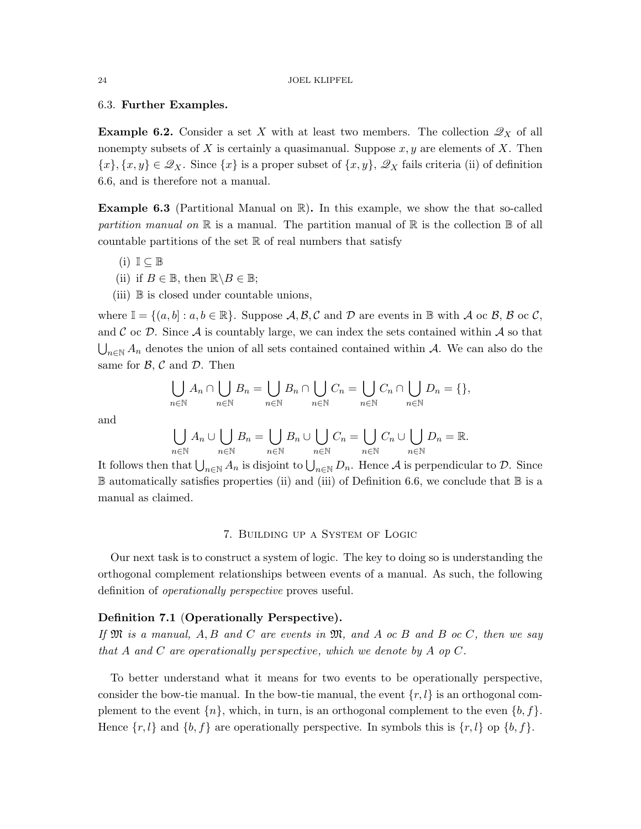#### 6.3. Further Examples.

**Example 6.2.** Consider a set X with at least two members. The collection  $\mathscr{Q}_X$  of all nonempty subsets of X is certainly a quasimanual. Suppose  $x, y$  are elements of X. Then  ${x}$ ,  ${x,y} \in \mathcal{Q}_X$ . Since  ${x}$  is a proper subset of  ${x,y}$ ,  $\mathcal{Q}_X$  fails criteria (ii) of definition 6.6, and is therefore not a manual.

**Example 6.3** (Partitional Manual on  $\mathbb{R}$ ). In this example, we show the that so-called partition manual on  $\mathbb R$  is a manual. The partition manual of  $\mathbb R$  is the collection  $\mathbb B$  of all countable partitions of the set  $\mathbb R$  of real numbers that satisfy

- $(i) \mathbb{I} \subseteq \mathbb{B}$
- (ii) if  $B \in \mathbb{B}$ , then  $\mathbb{R} \backslash B \in \mathbb{B}$ ;
- (iii) B is closed under countable unions,

where  $\mathbb{I} = \{(a, b] : a, b \in \mathbb{R}\}$ . Suppose  $\mathcal{A}, \mathcal{B}, \mathcal{C}$  and  $\mathcal{D}$  are events in  $\mathbb{B}$  with  $\mathcal{A}$  oc  $\mathcal{B}, \mathcal{B}$  oc  $\mathcal{C},$ and C oc D. Since A is countably large, we can index the sets contained within A so that  $\bigcup_{n\in\mathbb{N}} A_n$  denotes the union of all sets contained contained within A. We can also do the same for  $\beta$ ,  $\beta$  and  $\mathcal{D}$ . Then

$$
\bigcup_{n\in\mathbb{N}}A_n\cap\bigcup_{n\in\mathbb{N}}B_n=\bigcup_{n\in\mathbb{N}}B_n\cap\bigcup_{n\in\mathbb{N}}C_n=\bigcup_{n\in\mathbb{N}}C_n\cap\bigcup_{n\in\mathbb{N}}D_n=\{\},\
$$

and

$$
\bigcup_{n\in\mathbb{N}}A_n\cup\bigcup_{n\in\mathbb{N}}B_n=\bigcup_{n\in\mathbb{N}}B_n\cup\bigcup_{n\in\mathbb{N}}C_n=\bigcup_{n\in\mathbb{N}}C_n\cup\bigcup_{n\in\mathbb{N}}D_n=\mathbb{R}.
$$

It follows then that  $\bigcup_{n\in\mathbb{N}} A_n$  is disjoint to  $\bigcup_{n\in\mathbb{N}} D_n$ . Hence A is perpendicular to D. Since  $\mathbb B$  automatically satisfies properties (ii) and (iii) of Definition 6.6, we conclude that  $\mathbb B$  is a manual as claimed.

### 7. Building up a System of Logic

Our next task is to construct a system of logic. The key to doing so is understanding the orthogonal complement relationships between events of a manual. As such, the following definition of *operationally perspective* proves useful.

#### Definition 7.1 (Operationally Perspective).

If  $\mathfrak{M}$  is a manual, A, B and C are events in  $\mathfrak{M}$ , and A oc B and B oc C, then we say that A and C are operationally perspective, which we denote by A op  $C$ .

To better understand what it means for two events to be operationally perspective, consider the bow-tie manual. In the bow-tie manual, the event  $\{r, l\}$  is an orthogonal complement to the event  $\{n\}$ , which, in turn, is an orthogonal complement to the even  $\{b, f\}$ . Hence  $\{r, l\}$  and  $\{b, f\}$  are operationally perspective. In symbols this is  $\{r, l\}$  op  $\{b, f\}$ .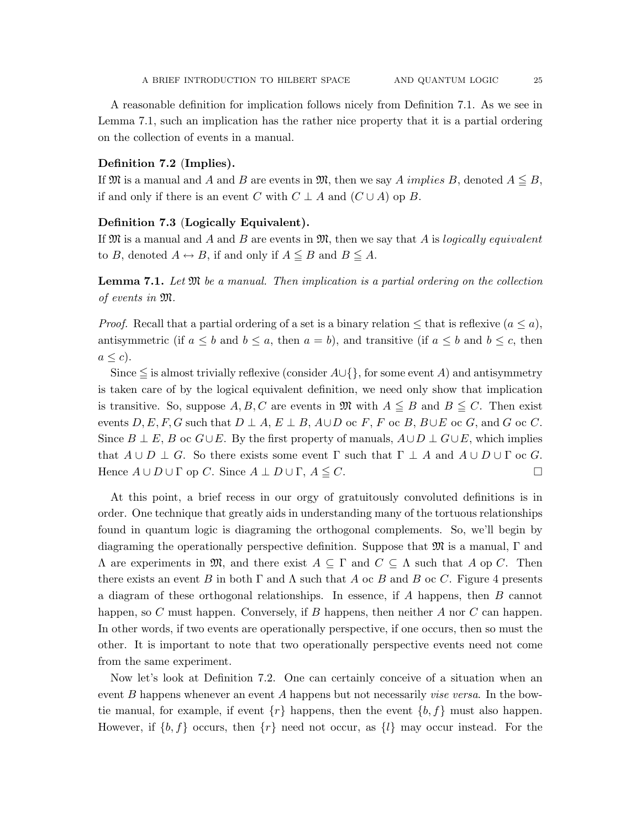A reasonable definition for implication follows nicely from Definition 7.1. As we see in Lemma 7.1, such an implication has the rather nice property that it is a partial ordering on the collection of events in a manual.

#### Definition 7.2 (Implies).

If M is a manual and A and B are events in M, then we say A implies B, denoted  $A \leq B$ , if and only if there is an event C with  $C \perp A$  and  $(C \cup A)$  op B.

#### Definition 7.3 (Logically Equivalent).

If  $\mathfrak M$  is a manual and A and B are events in  $\mathfrak M$ , then we say that A is logically equivalent to B, denoted  $A \leftrightarrow B$ , if and only if  $A \leq B$  and  $B \leq A$ .

**Lemma 7.1.** Let  $\mathfrak{M}$  be a manual. Then implication is a partial ordering on the collection of events in M.

*Proof.* Recall that a partial ordering of a set is a binary relation  $\leq$  that is reflexive  $(a \leq a)$ , antisymmetric (if  $a \leq b$  and  $b \leq a$ , then  $a = b$ ), and transitive (if  $a \leq b$  and  $b \leq c$ , then  $a \leq c$ ).

Since  $\leq$  is almost trivially reflexive (consider  $A \cup \{ \}$ , for some event A) and antisymmetry is taken care of by the logical equivalent definition, we need only show that implication is transitive. So, suppose  $A, B, C$  are events in  $\mathfrak{M}$  with  $A \leq B$  and  $B \leq C$ . Then exist events  $D, E, F, G$  such that  $D \perp A, E \perp B, A \cup D$  oc  $F, F$  oc  $B, B \cup E$  oc  $G$ , and  $G$  oc  $C$ . Since  $B \perp E$ , B oc  $G \cup E$ . By the first property of manuals,  $A \cup D \perp G \cup E$ , which implies that  $A \cup D \perp G$ . So there exists some event  $\Gamma$  such that  $\Gamma \perp A$  and  $A \cup D \cup \Gamma$  oc G. Hence  $A \cup D \cup \Gamma$  op C. Since  $A \perp D \cup \Gamma$ ,  $A \leq C$ .

At this point, a brief recess in our orgy of gratuitously convoluted definitions is in order. One technique that greatly aids in understanding many of the tortuous relationships found in quantum logic is diagraming the orthogonal complements. So, we'll begin by diagraming the operationally perspective definition. Suppose that  $\mathfrak{M}$  is a manual,  $\Gamma$  and  $\Lambda$  are experiments in  $\mathfrak{M}$ , and there exist  $A \subseteq \Gamma$  and  $C \subseteq \Lambda$  such that A op C. Then there exists an event B in both  $\Gamma$  and  $\Lambda$  such that A oc B and B oc C. Figure 4 presents a diagram of these orthogonal relationships. In essence, if A happens, then B cannot happen, so C must happen. Conversely, if B happens, then neither A nor C can happen. In other words, if two events are operationally perspective, if one occurs, then so must the other. It is important to note that two operationally perspective events need not come from the same experiment.

Now let's look at Definition 7.2. One can certainly conceive of a situation when an event B happens whenever an event A happens but not necessarily *vise versa*. In the bowtie manual, for example, if event  $\{r\}$  happens, then the event  $\{b, f\}$  must also happen. However, if  $\{b, f\}$  occurs, then  $\{r\}$  need not occur, as  $\{l\}$  may occur instead. For the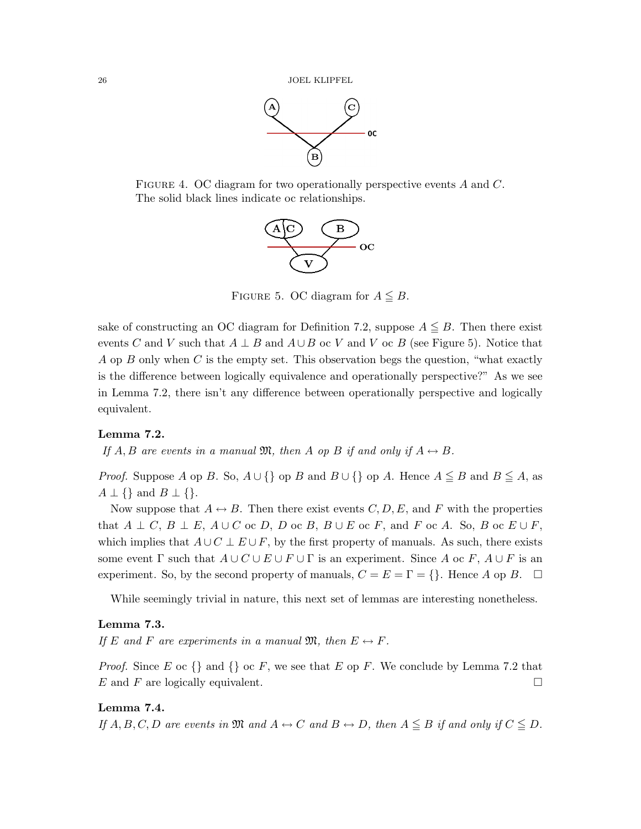

FIGURE 4. OC diagram for two operationally perspective events  $A$  and  $C$ . The solid black lines indicate oc relationships.



FIGURE 5. OC diagram for  $A \leq B$ .

sake of constructing an OC diagram for Definition 7.2, suppose  $A \leq B$ . Then there exist events C and V such that  $A \perp B$  and  $A \cup B$  oc V and V oc B (see Figure 5). Notice that A op B only when C is the empty set. This observation begs the question, "what exactly is the difference between logically equivalence and operationally perspective?" As we see in Lemma 7.2, there isn't any difference between operationally perspective and logically equivalent.

## Lemma 7.2.

If A, B are events in a manual  $\mathfrak{M}$ , then A op B if and only if  $A \leftrightarrow B$ .

*Proof.* Suppose A op B. So,  $A \cup \{\}$  op B and  $B \cup \{\}$  op A. Hence  $A \leq B$  and  $B \leq A$ , as  $A \perp \{\}$  and  $B \perp \{\}.$ 

Now suppose that  $A \leftrightarrow B$ . Then there exist events  $C, D, E$ , and F with the properties that  $A \perp C$ ,  $B \perp E$ ,  $A \cup C$  oc D, D oc B,  $B \cup E$  oc F, and F oc A. So, B oc  $E \cup F$ , which implies that  $A \cup C \perp E \cup F$ , by the first property of manuals. As such, there exists some event  $\Gamma$  such that  $A \cup C \cup E \cup F \cup \Gamma$  is an experiment. Since A oc F,  $A \cup F$  is an experiment. So, by the second property of manuals,  $C = E = \Gamma = \{\}.$  Hence A op B.  $\Box$ 

While seemingly trivial in nature, this next set of lemmas are interesting nonetheless.

# Lemma 7.3.

If E and F are experiments in a manual  $\mathfrak{M}$ , then  $E \leftrightarrow F$ .

*Proof.* Since E oc  $\{\}$  and  $\{\}$  oc F, we see that E op F. We conclude by Lemma 7.2 that E and F are logically equivalent.

# Lemma 7.4.

If  $A, B, C, D$  are events in  $\mathfrak{M}$  and  $A \leftrightarrow C$  and  $B \leftrightarrow D$ , then  $A \leq B$  if and only if  $C \leq D$ .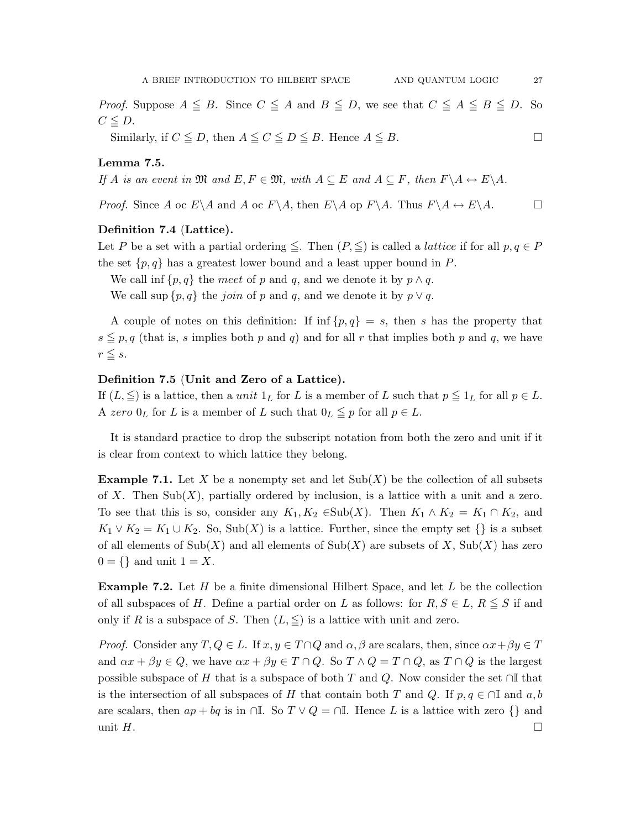*Proof.* Suppose  $A \leq B$ . Since  $C \leq A$  and  $B \leq D$ , we see that  $C \leq A \leq B \leq D$ . So  $C \leq D$ .

Similarly, if  $C \leq D$ , then  $A \leq C \leq D \leq B$ . Hence  $A \leq B$ .

#### Lemma 7.5.

If A is an event in  $\mathfrak{M}$  and  $E, F \in \mathfrak{M}$ , with  $A \subseteq E$  and  $A \subseteq F$ , then  $F \backslash A \leftrightarrow E \backslash A$ .

*Proof.* Since A oc  $E \setminus A$  and A oc  $F \setminus A$ , then  $E \setminus A$  op  $F \setminus A$ . Thus  $F \setminus A \leftrightarrow E \setminus A$ .

# Definition 7.4 (Lattice).

Let P be a set with a partial ordering  $\leq$ . Then  $(P, \leq)$  is called a *lattice* if for all  $p, q \in P$ the set  $\{p, q\}$  has a greatest lower bound and a least upper bound in P.

We call inf  $\{p, q\}$  the meet of p and q, and we denote it by  $p \wedge q$ .

We call sup  $\{p,q\}$  the *join* of p and q, and we denote it by  $p \vee q$ .

A couple of notes on this definition: If inf  $\{p,q\} = s$ , then s has the property that  $s \leq p, q$  (that is, s implies both p and q) and for all r that implies both p and q, we have  $r \leq s$ .

# Definition 7.5 (Unit and Zero of a Lattice).

If  $(L, \leq)$  is a lattice, then a unit  $1_L$  for L is a member of L such that  $p \leq 1_L$  for all  $p \in L$ . A zero  $0_L$  for L is a member of L such that  $0_L \leq p$  for all  $p \in L$ .

It is standard practice to drop the subscript notation from both the zero and unit if it is clear from context to which lattice they belong.

**Example 7.1.** Let X be a nonempty set and let  $\text{Sub}(X)$  be the collection of all subsets of X. Then  $\text{Sub}(X)$ , partially ordered by inclusion, is a lattice with a unit and a zero. To see that this is so, consider any  $K_1, K_2 \in Sub(X)$ . Then  $K_1 \wedge K_2 = K_1 \cap K_2$ , and  $K_1 \vee K_2 = K_1 \cup K_2$ . So, Sub(X) is a lattice. Further, since the empty set  $\{\}\$ is a subset of all elements of  $\text{Sub}(X)$  and all elements of  $\text{Sub}(X)$  are subsets of X,  $\text{Sub}(X)$  has zero  $0 = \{\}\$ and unit  $1 = X$ .

**Example 7.2.** Let  $H$  be a finite dimensional Hilbert Space, and let  $L$  be the collection of all subspaces of H. Define a partial order on L as follows: for  $R, S \in L, R \leq S$  if and only if R is a subspace of S. Then  $(L, \leq)$  is a lattice with unit and zero.

*Proof.* Consider any  $T, Q \in L$ . If  $x, y \in T \cap Q$  and  $\alpha, \beta$  are scalars, then, since  $\alpha x + \beta y \in T$ and  $\alpha x + \beta y \in Q$ , we have  $\alpha x + \beta y \in T \cap Q$ . So  $T \wedge Q = T \cap Q$ , as  $T \cap Q$  is the largest possible subspace of H that is a subspace of both T and Q. Now consider the set  $\cap$ I that is the intersection of all subspaces of H that contain both T and Q. If  $p, q \in \cap \mathbb{I}$  and  $a, b$ are scalars, then  $ap + bq$  is in ∩I. So  $T \vee Q = \cap I$ . Hence L is a lattice with zero  $\{\}\$  and unit  $H$ .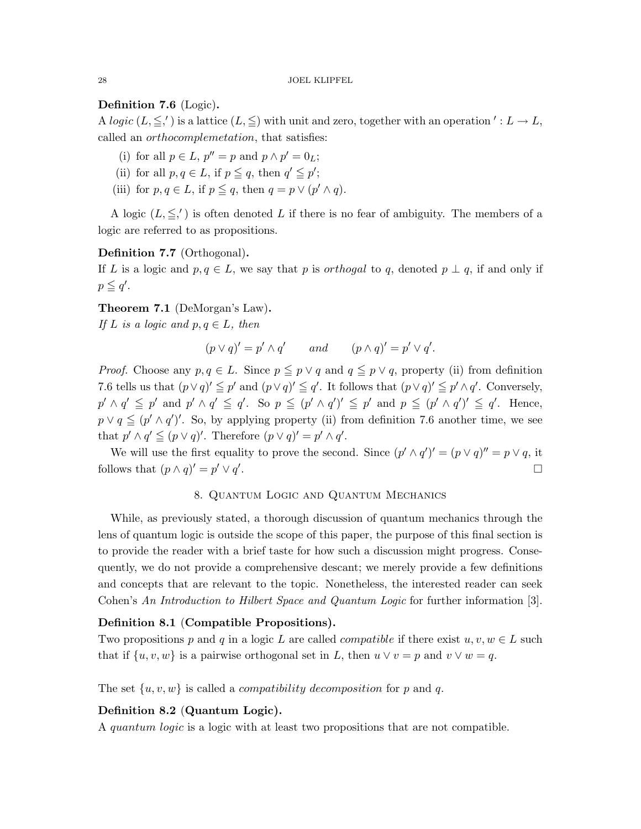# Definition 7.6 (Logic).

A logic  $(L, \leq')$  is a lattice  $(L, \leq)$  with unit and zero, together with an operation  $': L \to L$ , called an orthocomplemetation, that satisfies:

- (i) for all  $p \in L$ ,  $p'' = p$  and  $p \wedge p' = 0_L$ ;
- (ii) for all  $p, q \in L$ , if  $p \leq q$ , then  $q' \leq p'$ ;
- (iii) for  $p, q \in L$ , if  $p \leq q$ , then  $q = p \vee (p' \wedge q)$ .

A logic  $(L, \leq')$  is often denoted L if there is no fear of ambiguity. The members of a logic are referred to as propositions.

# Definition 7.7 (Orthogonal).

If L is a logic and  $p, q \in L$ , we say that p is *orthogal* to q, denoted  $p \perp q$ , if and only if  $p \leq q'$ .

## Theorem 7.1 (DeMorgan's Law).

If L is a logic and  $p, q \in L$ , then

$$
(p \lor q)' = p' \land q'
$$
 and  $(p \land q)' = p' \lor q'.$ 

*Proof.* Choose any  $p, q \in L$ . Since  $p \leq p \vee q$  and  $q \leq p \vee q$ , property (ii) from definition 7.6 tells us that  $(p \vee q)' \leq p'$  and  $(p \vee q)' \leq q'$ . It follows that  $(p \vee q)' \leq p' \wedge q'$ . Conversely,  $p' \wedge q' \leqq p'$  and  $p' \wedge q' \leqq q'$ . So  $p \leqq (p' \wedge q')' \leqq p'$  and  $p \leqq (p' \wedge q')' \leqq q'$ . Hence,  $p \vee q \leq (p' \wedge q')'$ . So, by applying property (ii) from definition 7.6 another time, we see that  $p' \wedge q' \leq (p \vee q)'$ . Therefore  $(p \vee q)' = p' \wedge q'$ .

We will use the first equality to prove the second. Since  $(p' \wedge q')' = (p \vee q)'' = p \vee q$ , it follows that  $(p \wedge q)' = p' \vee q'$ .

# 8. Quantum Logic and Quantum Mechanics

While, as previously stated, a thorough discussion of quantum mechanics through the lens of quantum logic is outside the scope of this paper, the purpose of this final section is to provide the reader with a brief taste for how such a discussion might progress. Consequently, we do not provide a comprehensive descant; we merely provide a few definitions and concepts that are relevant to the topic. Nonetheless, the interested reader can seek Cohen's An Introduction to Hilbert Space and Quantum Logic for further information [3].

## Definition 8.1 (Compatible Propositions).

Two propositions p and q in a logic L are called *compatible* if there exist  $u, v, w \in L$  such that if  $\{u, v, w\}$  is a pairwise orthogonal set in L, then  $u \vee v = p$  and  $v \vee w = q$ .

The set  $\{u, v, w\}$  is called a *compatibility decomposition* for p and q.

# Definition 8.2 (Quantum Logic).

A quantum logic is a logic with at least two propositions that are not compatible.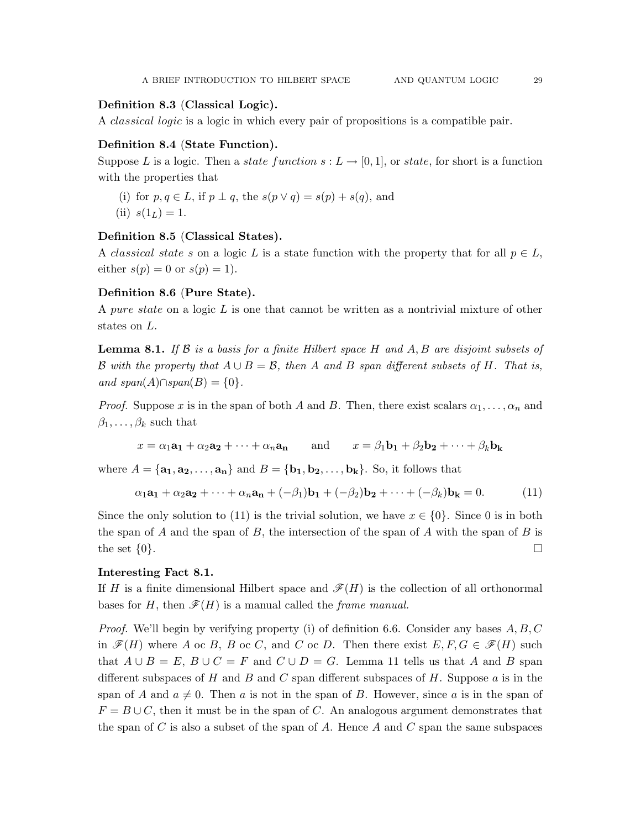## Definition 8.3 (Classical Logic).

A classical logic is a logic in which every pair of propositions is a compatible pair.

# Definition 8.4 (State Function).

Suppose L is a logic. Then a state function  $s: L \to [0, 1]$ , or state, for short is a function with the properties that

- (i) for  $p, q \in L$ , if  $p \perp q$ , the  $s(p \vee q) = s(p) + s(q)$ , and
- (ii)  $s(1_L) = 1$ .

### Definition 8.5 (Classical States).

A classical state s on a logic L is a state function with the property that for all  $p \in L$ , either  $s(p) = 0$  or  $s(p) = 1$ .

# Definition 8.6 (Pure State).

A pure state on a logic  $L$  is one that cannot be written as a nontrivial mixture of other states on L.

**Lemma 8.1.** If B is a basis for a finite Hilbert space H and  $A, B$  are disjoint subsets of B with the property that  $A \cup B = \mathcal{B}$ , then A and B span different subsets of H. That is, and span(A)∩span(B) = {0}.

*Proof.* Suppose x is in the span of both A and B. Then, there exist scalars  $\alpha_1, \ldots, \alpha_n$  and  $\beta_1, \ldots, \beta_k$  such that

$$
x = \alpha_1 \mathbf{a_1} + \alpha_2 \mathbf{a_2} + \cdots + \alpha_n \mathbf{a_n}
$$
 and  $x = \beta_1 \mathbf{b_1} + \beta_2 \mathbf{b_2} + \cdots + \beta_k \mathbf{b_k}$ 

where  $A = \{a_1, a_2, \ldots, a_n\}$  and  $B = \{b_1, b_2, \ldots, b_k\}$ . So, it follows that

$$
\alpha_1 \mathbf{a_1} + \alpha_2 \mathbf{a_2} + \dots + \alpha_n \mathbf{a_n} + (-\beta_1) \mathbf{b_1} + (-\beta_2) \mathbf{b_2} + \dots + (-\beta_k) \mathbf{b_k} = 0. \tag{11}
$$

Since the only solution to (11) is the trivial solution, we have  $x \in \{0\}$ . Since 0 is in both the span of A and the span of B, the intersection of the span of A with the span of B is the set  $\{0\}$ .

### Interesting Fact 8.1.

If H is a finite dimensional Hilbert space and  $\mathscr{F}(H)$  is the collection of all orthonormal bases for H, then  $\mathscr{F}(H)$  is a manual called the *frame manual*.

*Proof.* We'll begin by verifying property (i) of definition 6.6. Consider any bases  $A, B, C$ in  $\mathscr{F}(H)$  where A oc B, B oc C, and C oc D. Then there exist  $E, F, G \in \mathscr{F}(H)$  such that  $A \cup B = E$ ,  $B \cup C = F$  and  $C \cup D = G$ . Lemma 11 tells us that A and B span different subspaces of H and B and C span different subspaces of H. Suppose a is in the span of A and  $a \neq 0$ . Then a is not in the span of B. However, since a is in the span of  $F = B \cup C$ , then it must be in the span of C. An analogous argument demonstrates that the span of C is also a subset of the span of A. Hence A and C span the same subspaces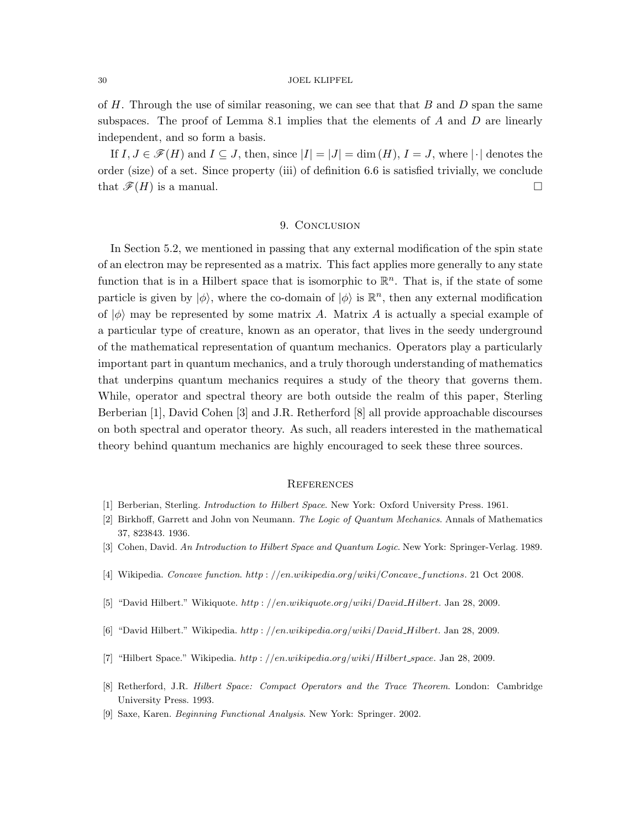#### 30 JOEL KLIPFEL

of  $H$ . Through the use of similar reasoning, we can see that that  $B$  and  $D$  span the same subspaces. The proof of Lemma 8.1 implies that the elements of  $A$  and  $D$  are linearly independent, and so form a basis.

If  $I, J \in \mathscr{F}(H)$  and  $I \subseteq J$ , then, since  $|I| = |J| = \dim(H), I = J$ , where  $|\cdot|$  denotes the order (size) of a set. Since property (iii) of definition 6.6 is satisfied trivially, we conclude that  $\mathscr{F}(H)$  is a manual.

### 9. CONCLUSION

In Section 5.2, we mentioned in passing that any external modification of the spin state of an electron may be represented as a matrix. This fact applies more generally to any state function that is in a Hilbert space that is isomorphic to  $\mathbb{R}^n$ . That is, if the state of some particle is given by  $|\phi\rangle$ , where the co-domain of  $|\phi\rangle$  is  $\mathbb{R}^n$ , then any external modification of  $|\phi\rangle$  may be represented by some matrix A. Matrix A is actually a special example of a particular type of creature, known as an operator, that lives in the seedy underground of the mathematical representation of quantum mechanics. Operators play a particularly important part in quantum mechanics, and a truly thorough understanding of mathematics that underpins quantum mechanics requires a study of the theory that governs them. While, operator and spectral theory are both outside the realm of this paper, Sterling Berberian [1], David Cohen [3] and J.R. Retherford [8] all provide approachable discourses on both spectral and operator theory. As such, all readers interested in the mathematical theory behind quantum mechanics are highly encouraged to seek these three sources.

#### **REFERENCES**

- [1] Berberian, Sterling. Introduction to Hilbert Space. New York: Oxford University Press. 1961.
- [2] Birkhoff, Garrett and John von Neumann. The Logic of Quantum Mechanics. Annals of Mathematics 37, 823843. 1936.
- [3] Cohen, David. An Introduction to Hilbert Space and Quantum Logic. New York: Springer-Verlag. 1989.
- [4] Wikipedia. Concave function. http : //en.wikipedia.org/wiki/Concave functions. 21 Oct 2008.
- [5] "David Hilbert." Wikiquote. http : //en.wikiquote.org/wiki/David Hilbert. Jan 28, 2009.
- [6] "David Hilbert." Wikipedia. http : //en.wikipedia.org/wiki/David Hilbert. Jan 28, 2009.
- [7] "Hilbert Space." Wikipedia. http : //en.wikipedia.org/wiki/Hilbert space. Jan 28, 2009.
- [8] Retherford, J.R. Hilbert Space: Compact Operators and the Trace Theorem. London: Cambridge University Press. 1993.
- [9] Saxe, Karen. Beginning Functional Analysis. New York: Springer. 2002.